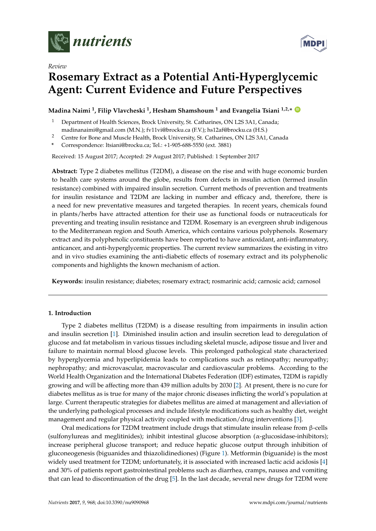



# *Review*

# **Rosemary Extract as a Potential Anti-Hyperglycemic Agent: Current Evidence and Future Perspectives**

# $\bm{\Lambda}$  Madina Naimi  $^1$ , Filip Vlavcheski  $^1$ , Hesham Shamshoum  $^1$  and Evangelia Tsiani  $^{1,2,*}$  (  $^{\text{D}}$

- Department of Health Sciences, Brock University, St. Catharines, ON L2S 3A1, Canada; madinanaimi@gmail.com (M.N.); fv11vi@brocku.ca (F.V.); hs12af@brocku.ca (H.S.)
- <sup>2</sup> Centre for Bone and Muscle Health, Brock University, St. Catharines, ON L2S 3A1, Canada
- **\*** Correspondence: ltsiani@brocku.ca; Tel.: +1-905-688-5550 (ext. 3881)

Received: 15 August 2017; Accepted: 29 August 2017; Published: 1 September 2017

**Abstract:** Type 2 diabetes mellitus (T2DM), a disease on the rise and with huge economic burden to health care systems around the globe, results from defects in insulin action (termed insulin resistance) combined with impaired insulin secretion. Current methods of prevention and treatments for insulin resistance and T2DM are lacking in number and efficacy and, therefore, there is a need for new preventative measures and targeted therapies. In recent years, chemicals found in plants/herbs have attracted attention for their use as functional foods or nutraceuticals for preventing and treating insulin resistance and T2DM. Rosemary is an evergreen shrub indigenous to the Mediterranean region and South America, which contains various polyphenols. Rosemary extract and its polyphenolic constituents have been reported to have antioxidant, anti-inflammatory, anticancer, and anti-hyperglycemic properties. The current review summarizes the existing in vitro and in vivo studies examining the anti-diabetic effects of rosemary extract and its polyphenolic components and highlights the known mechanism of action.

**Keywords:** insulin resistance; diabetes; rosemary extract; rosmarinic acid; carnosic acid; carnosol

## **1. Introduction**

Type 2 diabetes mellitus (T2DM) is a disease resulting from impairments in insulin action and insulin secretion [\[1\]](#page-14-0). Diminished insulin action and insulin secretion lead to deregulation of glucose and fat metabolism in various tissues including skeletal muscle, adipose tissue and liver and failure to maintain normal blood glucose levels. This prolonged pathological state characterized by hyperglycemia and hyperlipidemia leads to complications such as retinopathy; neuropathy; nephropathy; and microvascular, macrovascular and cardiovascular problems. According to the World Health Organization and the International Diabetes Federation (IDF) estimates, T2DM is rapidly growing and will be affecting more than 439 million adults by 2030 [\[2\]](#page-14-1). At present, there is no cure for diabetes mellitus as is true for many of the major chronic diseases inflicting the world's population at large. Current therapeutic strategies for diabetes mellitus are aimed at management and alleviation of the underlying pathological processes and include lifestyle modifications such as healthy diet, weight management and regular physical activity coupled with medication/drug interventions [\[3\]](#page-14-2).

Oral medications for T2DM treatment include drugs that stimulate insulin release from β-cells (sulfonylureas and meglitinides); inhibit intestinal glucose absorption (α-glucosidase-inhibitors); increase peripheral glucose transport; and reduce hepatic glucose output through inhibition of gluconeogenesis (biguanides and thiazolidinediones) (Figure [1\)](#page-1-0). Metformin (biguanide) is the most widely used treatment for T2DM; unfortunately, it is associated with increased lactic acid acidosis [\[4\]](#page-14-3) and 30% of patients report gastrointestinal problems such as diarrhea, cramps, nausea and vomiting that can lead to discontinuation of the drug [\[5\]](#page-14-4). In the last decade, several new drugs for T2DM were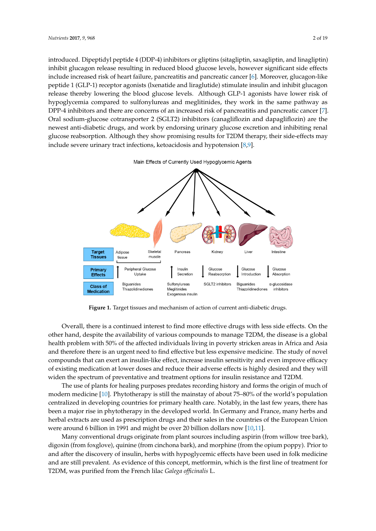introduced. Dipeptidyl peptide 4 (DDP-4) inhibitors or gliptins (sitagliptin, saxagliptin, and linagliptin) inhibit glucagon release resulting in reduced blood glucose levels, however significant side effects include increased risk of heart failure, pancreatitis and pancreatic cancer [\[6\]](#page-14-5). Moreover, glucagon-like peptide 1 (GLP-1) receptor agonists (lxenatide and liraglutide) stimulate insulin and inhibit glucagon release thereby lowering the blood glucose levels. Although GLP-1 agonists have lower risk of hypoglycemia compared to sulfonylureas and meglitinides, they work in the same pathway as DPP-4 inhibitors and there are concerns of an increased risk of pancreatitis and pancreatic cancer [\[7\]](#page-14-6). Oral sodium-glucose cotransporter 2 (SGLT2) inhibitors (canagliflozin and dapagliflozin) are the newest anti-diabetic drugs, and work by endorsing urinary glucose excretion and inhibiting renal glucose reabsorption. Although they show promising results for T2DM therapy, their side-effects may include severe urinary tract infections, ketoacidosis and hypotension [\[8](#page-14-7)[,9\]](#page-14-8).



<span id="page-1-0"></span>

**Figure 1.** Target tissues and mechanism of action of current anti-diabetic drugs. **Figure 1.** Target tissues and mechanism of action of current anti-diabetic drugs.

Overall, there is a continued interest to find more effective drugs with less side effects. On the Overall, there is a continued interest to find more effective drugs with less side effects. On the other hand, despite the availability of various compounds to manage T2DM, the disease is a global other hand, despite the availability of various compounds to manage T2DM, the disease is a global health problem with 50% of the affected individuals living in poverty stricken areas in Africa and health problem with 50% of the affected individuals living in poverty stricken areas in Africa and Asia and therefore there is an urgent need to find effective but less expensive medicine. The study of novel compounds that can exert an insulin-like effect, increase insulin sensitivity and even improve efficacy of existing medication at lower doses and reduce their adverse effects is highly desired and they will widen the spectrum of preventative and treatment options for insulin resistance and T2DM.

The use of plants for healing purposes predates recording history and forms the origin of much The use of plants for healing purposes predates recording history and forms the origin of much of modern medici[ne](#page-14-9) [10]. Phytotherapy is still the mainstay of about 75-80% of the world's population centralized in developing countries for primary health care. Notably, in the last few years, there has been a major rise in phytotherapy in the developed world. In Germany and France, many herbs and herbal extracts are used as prescription drugs and their sales in the countries of the European Union were around 6 bill[ion](#page-14-9) in 1991 and might be over 20 billion [do](#page-14-10)llars now [10,11].

Many conventional drugs originate from plant sources including aspirin (from willow tree bark), Many conventional drugs originate from plant sources including aspirin (from willow tree bark), digoxin (from foxglove), quinine (from cinchona bark), and morphine (from the opium poppy). Prior digoxin (from foxglove), quinine (from cinchona bark), and morphine (from the opium poppy). Prior to and after the discovery of insulin, herbs with hypoglycemic effects have been used in folk medicine and are still prevalent. As evidence of this concept, metformin, which is the first line of treatment for T2DM, was purified from the French lilac *Galega officinalis* L. T2DM, was purified from the French lilac *Galega officinalis* L.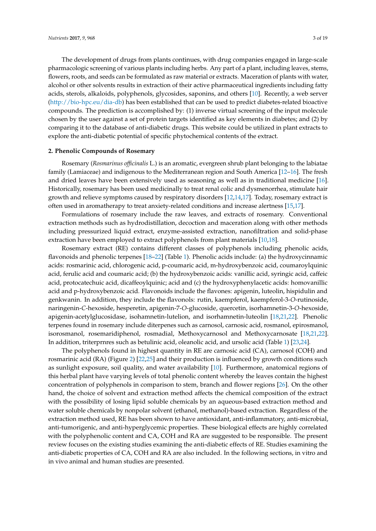The development of drugs from plants continues, with drug companies engaged in large-scale pharmacologic screening of various plants including herbs. Any part of a plant, including leaves, stems, flowers, roots, and seeds can be formulated as raw material or extracts. Maceration of plants with water, alcohol or other solvents results in extraction of their active pharmaceutical ingredients including fatty acids, sterols, alkaloids, polyphenols, glycosides, saponins, and others [\[10\]](#page-14-9). Recently, a web server [\(http://bio-hpc.eu/dia-db\)](http://bio-hpc.eu/dia-db) has been established that can be used to predict diabetes-related bioactive compounds. The prediction is accomplished by: (1) inverse virtual screening of the input molecule chosen by the user against a set of protein targets identified as key elements in diabetes; and (2) by comparing it to the database of anti-diabetic drugs. This website could be utilized in plant extracts to explore the anti-diabetic potential of specific phytochemical contents of the extract.

#### **2. Phenolic Compounds of Rosemary**

Rosemary (*Rosmarinus officinalis* L.) is an aromatic, evergreen shrub plant belonging to the labiatae family (Lamiaceae) and indigenous to the Mediterranean region and South America [\[12–](#page-14-11)[16\]](#page-15-0). The fresh and dried leaves have been extensively used as seasoning as well as in traditional medicine [\[16\]](#page-15-0). Historically, rosemary has been used medicinally to treat renal colic and dysmenorrhea, stimulate hair growth and relieve symptoms caused by respiratory disorders [\[12,](#page-14-11)[14,](#page-14-12)[17\]](#page-15-1). Today, rosemary extract is often used in aromatherapy to treat anxiety-related conditions and increase alertness [\[15](#page-14-13)[,17\]](#page-15-1).

Formulations of rosemary include the raw leaves, and extracts of rosemary. Conventional extraction methods such as hydrodistillation, decoction and maceration along with other methods including pressurized liquid extract, enzyme-assisted extraction, nanofiltration and solid-phase extraction have been employed to extract polyphenols from plant materials [\[10,](#page-14-9)[18\]](#page-15-2).

Rosemary extract (RE) contains different classes of polyphenols including phenolic acids, flavonoids and phenolic terpenes [\[18](#page-15-2)[–22\]](#page-15-3) (Table [1\)](#page-3-0). Phenolic acids include: (a) the hydroxycinnamic acids: rosmarinic acid, chlorogenic acid, p-coumaric acid, m-hydroxybenzoic acid, coumaroylquinic acid, ferulic acid and coumaric acid; (b) the hydroxybenzoic acids: vanillic acid, syringic acid, caffeic acid, protocatechuic acid, dicaffeoylquinic; acid and (c) the hydroxyphenylacetic acids: homovanillic acid and p-hydroxybenzoic acid. Flavonoids include the flavones: apigenin, luteolin, hispidulin and genkwanin. In addition, they include the flavonols: rutin, kaempferol, kaempferol-3-*O*-rutinoside, naringenin-*C*-hexoside, hesperetin, apigenin-7-*O*-glucoside, quercetin, isorhamnetin-3-*O*-hexoside, apigenin-acetylglucosidase, isohamnetin-lutelion, and isorhamnetin-luteolin [\[18,](#page-15-2)[21,](#page-15-4)[22\]](#page-15-3). Phenolic terpenes found in rosemary include diterpenes such as carnosol, carnosic acid, rosmanol, epirosmanol, isorosmanol, rosemaridiphenol, rosmadial, Methoxycarnosol and Methoxycarnosate [\[18,](#page-15-2)[21,](#page-15-4)[22\]](#page-15-3). In addition, triterprnres such as betulinic acid, oleanolic acid, and ursolic acid (Table [1\)](#page-3-0) [\[23](#page-15-5)[,24\]](#page-15-6).

The polyphenols found in highest quantity in RE are carnosic acid (CA), carnosol (COH) and rosmarinic acid (RA) (Figure [2\)](#page-4-0) [\[22](#page-15-3)[,25\]](#page-15-7) and their production is influenced by growth conditions such as sunlight exposure, soil quality, and water availability [\[10\]](#page-14-9). Furthermore, anatomical regions of this herbal plant have varying levels of total phenolic content whereby the leaves contain the highest concentration of polyphenols in comparison to stem, branch and flower regions [\[26\]](#page-15-8). On the other hand, the choice of solvent and extraction method affects the chemical composition of the extract with the possibility of losing lipid soluble chemicals by an aqueous-based extraction method and water soluble chemicals by nonpolar solvent (ethanol, methanol)-based extraction. Regardless of the extraction method used, RE has been shown to have antioxidant, anti-inflammatory, anti-microbial, anti-tumorigenic, and anti-hyperglycemic properties. These biological effects are highly correlated with the polyphenolic content and CA, COH and RA are suggested to be responsible. The present review focuses on the existing studies examining the anti-diabetic effects of RE. Studies examining the anti-diabetic properties of CA, COH and RA are also included. In the following sections, in vitro and in vivo animal and human studies are presented.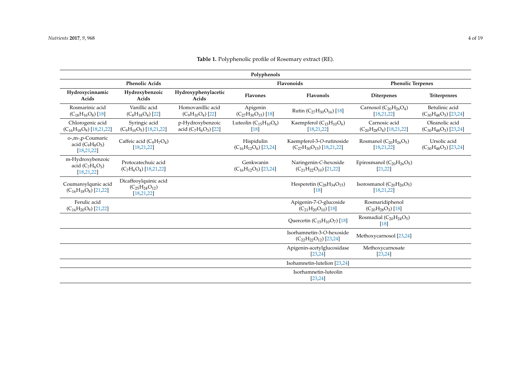<span id="page-3-0"></span>

| Polyphenols                                            |                                                                 |                                             |                                           |                                                                |                                                 |                                               |
|--------------------------------------------------------|-----------------------------------------------------------------|---------------------------------------------|-------------------------------------------|----------------------------------------------------------------|-------------------------------------------------|-----------------------------------------------|
| <b>Phenolic Acids</b>                                  |                                                                 | Flavonoids                                  |                                           | <b>Phenolic Terpenes</b>                                       |                                                 |                                               |
| Hydroxycinnamic<br>Acids                               | Hydroxybenzoic<br>Acids                                         | Hydroxyphenylacetic<br>Acids                | <b>Flavones</b>                           | <b>Flavonols</b>                                               | <b>Diterpenes</b>                               | Triterprnres                                  |
| Rosmarinic acid<br>$(C_{18}H_{16}O_8)[18]$             | Vanillic acid<br>$(C_8H_{18}O_4)$ [22]                          | Homovanillic acid<br>$(C_9H_{10}O_4)$ [22]  | Apigenin<br>$(C_{27}H_{30}O_{15})$ [18]   | Rutin ( $C_{27}H_{30}O_{16}$ ) [18]                            | Carnosol $(C_{20}H_{26}O_4)$<br>[18, 21, 22]    | Betulinic acid<br>$(C_{30}H_{48}O_3)$ [23,24] |
| Chlorogenic acid<br>$(C_{16}H_{18}O_9)$ [18,21,22]     | Syringic acid<br>$(C_9H_{10}O_5)$ [18,21,22]                    | p-Hydroxybenzoic<br>acid $(C_7H_6O_3)$ [22] | Luteolin $(C_{15}H_{10}O_6)$<br>[18]      | Kaempferol $(C_{15}H_{10}O_6)$<br>[18, 21, 22]                 | Carnosic acid<br>$(C_{20}H_{28}O_4)$ [18,21,22] | Oleanolic acid<br>$(C_{30}H_{48}O_3)$ [23,24] |
| o-,m-,p-Coumaric<br>acid $(C_9H_8O_3)$<br>[18, 21, 22] | Caffeic acid $(C_9H_7O_4)$<br>[18, 21, 22]                      |                                             | Hispidulin<br>$(C_{16}H_{12}O_6)$ [23,24] | Kaempferol-3-O-rutinoside<br>$(C_{27}H_{30}O_{15})$ [18,21,22] | Rosmanol $(C_{20}H_{26}O_5)$<br>[18, 21, 22]    | Ursolic acid<br>$(C_{30}H_{48}O_3)$ [23,24]   |
| m-Hydroxybenzoic<br>acid $(C_7H_6O_3)$<br>[18, 21, 22] | Protocatechuic acid<br>$(C_7H_6O_4)$ [18,21,22]                 |                                             | Genkwanin<br>$(C_{16}H_{12}O_5)$ [23,24]  | Naringenin-C-hexoside<br>$(C_{21}H_{22}O_{10})$ [21,22]        | Epirosmanol $(C_{20}H_{26}O_5)$<br>[21, 22]     |                                               |
| Coumaroylqunic acid<br>$(C_{16}H_{18}O_8)$ [21,22]     | Dicaffeoylquinic acid<br>$(C_{25}H_{24}O_{12})$<br>[18, 21, 22] |                                             |                                           | Hesperetin $(C_{28}H_{34}O_{15})$<br>[18]                      | Isorosmanol $(C_{20}H_{26}O_5)$<br>[18, 21, 22] |                                               |
| Ferulic acid<br>$(C_{16}H_{20}O_9)$ [21,22]            |                                                                 |                                             |                                           | Apigenin-7-O-glucoside<br>$(C_{21}H_{20}O_{10})$ [18]          | Rosmaridiphenol<br>$(C_{20}H_{28}O_3)$ [18]     |                                               |
|                                                        |                                                                 |                                             |                                           | Quercetin $(C_{15}H_{10}O_7)$ [18]                             | Rosmadial $(C_{20}H_{24}O_5)$<br>[18]           |                                               |
|                                                        |                                                                 |                                             |                                           | Isorhamnetin-3-O-hexoside<br>$(C_{22}H_{22}O_{12})$ [23,24]    | Methoxycarnosol [23,24]                         |                                               |
|                                                        |                                                                 |                                             |                                           | Apigenin-acetylglucosidase<br>[23, 24]                         | Methoxycarnosate<br>[23, 24]                    |                                               |
|                                                        |                                                                 |                                             |                                           | Isohamnetin-lutelion [23,24]                                   |                                                 |                                               |
|                                                        |                                                                 |                                             |                                           | Isorhamnetin-luteolin<br>[23, 24]                              |                                                 |                                               |

# **Table 1.** Polyphenolic profile of Rosemary extract (RE).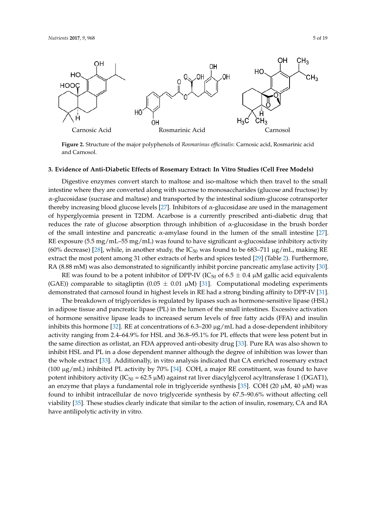<span id="page-4-0"></span>

Figure 2. Structure of the major polyphenols of Rosmarinus officinalis: Carnosic acid, Rosmarinic acid and Carnosol. and Carnosol.

# **3. Evidence of Anti-Diabetic Effects of Rosemary Extract***:* **In Vitro Studies (Cell Free Models) 3. Evidence of Anti-Diabetic Effects of Rosemary Extract: In Vitro Studies (Cell Free Models)**

Digestive enzymes convert starch to maltose and iso-maltose which then travel to the small Digestive enzymes convert starch to maltose and iso-maltose which then travel to the small intestine where they are converted along with sucrose to monosaccharides (glucose and fructose) by intestine where they are converted along with sucrose to monosaccharides (glucose and fructose) by α-glucosidase (sucrase and maltase) and transported by the intestinal sodium-glucose cotransporter α-glucosidase (sucrase and maltase) and transported by the intestinal sodium-glucose cotransporter thereby increasing blood glucose levels [27]. Inhibitors of α-glucosidase are used in the management thereby increasing blood glucose levels [\[27\]](#page-15-14). Inhibitors of α-glucosidase are used in the management of hyperglycemia present in T2DM. Acarbose is a currently prescribed anti-diabetic drug that reduces the rate of glucose absorption through inhibition of  $\alpha$ -glucosidase in the brush border of the small intestine and pancreatic α-amylase found in the lumen of the small intestine [\[27\]](#page-15-14). RE exposure (5.5 mg/mL–55 mg/mL) was found to have significant  $\alpha$ -glucosidase inhibitory activity (60% decrease) [\[28\]](#page-15-15), while, in another study, the IC<sub>50</sub> was found to be 683–711  $\mu$ g/mL, making RE extract the most potent among 31 other extracts of herbs and spices tested [\[29\]](#page-15-16) (Table [2\)](#page-5-0). Furthermore, RA (8.88 mM) was also demonstrated to significantly inhibit porcine pancreatic amylase activity [\[30\]](#page-15-17).

RE was found to be a potent inhibitor of DPP-IV (IC<sub>50</sub> of 6.5  $\pm$  0.4  $\mu$ M gallic acid equivalents (GAE)) comparable to sitagliptin (0.05  $\pm$  0.01 µM) [\[31\]](#page-15-18). Computational modeling experiments demonstrated that carnosol found in highest levels in RE had a strong binding affinity to DPP-IV [31]. demonstrated that carnosol found in highest levels in RE had a strong binding affinity to DPP-IV [\[31\]](#page-15-18).

The breakdown of triglycerides is regulated by lipases such as hormone-sensitive lipase (HSL) The breakdown of triglycerides is regulated by lipases such as hormone-sensitive lipase (HSL) in adipose tissue and pancreatic lipase (PL) in the lumen of the small intestines. Excessive activation in adipose tissue and pancreatic lipase (PL) in the lumen of the small intestines. Excessive activation of hormone sensitive lipase leads to increased serum levels of free fatty acids (FFA) and insulin of hormone sensitive lipase leads to increased serum levels of free fatty acids (FFA) and insulin inhibits this hormone [\[32\]](#page-15-19). RE at concentrations of 6.3–200 μg/mL had a dose-dependent inhibitory activity ranging from 2.4–64.9% for HSL and 36.8–95.1% for PL effects that were less potent but in the same direction as orlistat, an FDA approved anti-obesity drug [\[33\]](#page-15-20). Pure RA was also shown to inhibit HSL and PL in a dose dependent manner although the degree of inhibition was lower than the whole extract [\[33\]](#page-15-20). Additionally, in vitro analysis indicated that CA enriched rosemary extract (100  $\mu$ g/mL) inhibited PL activity by 70% [\[34\]](#page-15-21). COH, a major RE constituent, was found to have potent inhibitory activity (IC<sub>50</sub> = 62.5 µM) against rat liver diacylglycerol acyltransferase 1 (DGAT1), an enzyme that plays a fundamental role in triglyceride synthesis [\[35\]](#page-16-0). COH (20  $\mu$ M, 40  $\mu$ M) was found to inhibit intracellular de novo triglyceride synthesis by 67.5–90.6% without affecting cell viability [\[35\]](#page-16-0). These studies clearly indicate that similar to the action of insulin, rosemary, CA and RA have antilipolytic activity in vitro.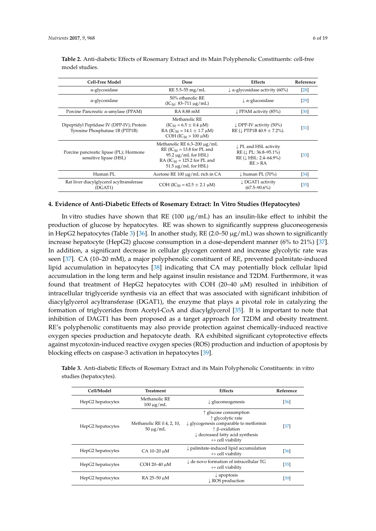| <b>Cell-Free Model</b>                                                       | Dose                                                                                                                                                             | Effects                                                                                                                   | Reference         |
|------------------------------------------------------------------------------|------------------------------------------------------------------------------------------------------------------------------------------------------------------|---------------------------------------------------------------------------------------------------------------------------|-------------------|
| $\alpha$ -glycosidase                                                        | $RE 5.5 - 55 mg/mL$                                                                                                                                              | $\downarrow \alpha$ -glycosidase activity (60%)                                                                           | [28]              |
| $\alpha$ -glycosidase                                                        | 50% ethanolic RE<br>$(IC_{50}: 83-711 \mu g/mL)$                                                                                                                 | $\downarrow \alpha$ -glucosidase                                                                                          | $\left[29\right]$ |
| Porcine Pancreatic $\alpha$ -amylase (PPAM)                                  | RA 8.88 mM                                                                                                                                                       | $\downarrow$ PPAM activity (85%)                                                                                          | $[30]$            |
| Dipeptidyl Peptidase IV (DPP-IV); Protein<br>Tyrosine Phosphatase 1B (PTP1B) | Methanolic RE<br>$(IC_{50} = 6.5 \pm 0.4 \mu M)$<br>RA (IC <sub>50</sub> = 14.1 $\pm$ 1.7 $\mu$ M)<br>COH (IC <sub>50</sub> > 100 $\mu$ M)                       | $\downarrow$ DPP-IV activity (50%)<br>RE ( $\downarrow$ PTP1B 40.9 $\pm$ 7.2%).                                           | $[31]$            |
| Porcine pancreatic lipase (PL); Hormone<br>sensitive lipase (HSL)            | Methanolic RE $6.3-200 \mu g/mL$<br>$RE (IC_{50} = 13.8$ for PL and<br>$95.2 \mu$ g/mL for HSL)<br>RA ( $IC_{50}$ = 125.2 for PL and<br>$51.5 \mu$ g/mL for HSL) | $\downarrow$ PL and HSL activity<br>$RE$ ( $\downarrow$ PL: 36.8–95.1%)<br>$RE$ ( $\downarrow$ HSL: 2.4–64.9%)<br>RE > RA | $[33]$            |
| Human PL                                                                     | Acetone RE $100 \mu g/mL$ rich in CA                                                                                                                             | $\downarrow$ human PL (70%)                                                                                               | $\left[34\right]$ |
| Rat liver diacylglycerol acyltransferase<br>(DGAT1)                          | COH (IC <sub>50</sub> = 62.5 $\pm$ 2.1 $\mu$ M)                                                                                                                  | ↓ DGAT1 activity<br>$(67.5 - 90.6\%)$                                                                                     | $[35]$            |

<span id="page-5-0"></span>**Table 2.** Anti-diabetic Effects of Rosemary Extract and its Main Polyphenolic Constituents: cell-free model studies.

#### **4. Evidence of Anti-Diabetic Effects of Rosemary Extract: In Vitro Studies (Hepatocytes)**

In vitro studies have shown that RE (100  $\mu$ g/mL) has an insulin-like effect to inhibit the production of glucose by hepatocytes. RE was shown to significantly suppress gluconeogenesis in HepG2 hepatocytes (Table [3\)](#page-5-1) [\[36\]](#page-16-1). In another study, RE (2.0–50  $\mu$ g/mL) was shown to significantly increase hepatocyte (HepG2) glucose consumption in a dose-dependent manner (6% to 21%) [\[37\]](#page-16-2). In addition, a significant decrease in cellular glycogen content and increase glycolytic rate was seen [\[37\]](#page-16-2). CA (10–20 mM), a major polyphenolic constituent of RE, prevented palmitate-induced lipid accumulation in hepatocytes [\[38\]](#page-16-3) indicating that CA may potentially block cellular lipid accumulation in the long term and help against insulin resistance and T2DM. Furthermore, it was found that treatment of HepG2 hepatocytes with COH (20–40  $\mu$ M) resulted in inhibition of intracellular triglyceride synthesis via an effect that was associated with significant inhibition of diacylglycerol acyltransferase (DGAT1), the enzyme that plays a pivotal role in catalyzing the formation of triglycerides from Acetyl-CoA and diacylglycerol [\[35\]](#page-16-0). It is important to note that inhibition of DAGT1 has been proposed as a target approach for T2DM and obesity treatment. RE's polyphenolic constituents may also provide protection against chemically-induced reactive oxygen species production and hepatocyte death. RA exhibited significant cytoprotective effects against mycotoxin-induced reactive oxygen species (ROS) production and induction of apoptosis by blocking effects on caspase-3 activation in hepatocytes [\[39\]](#page-16-4).

<span id="page-5-1"></span>**Table 3.** Anti-diabetic Effects of Rosemary Extract and its Main Polyphenolic Constituents: in vitro studies (hepatocytes).

| Cell/Model        | Treatment                                  | <b>Effects</b>                                                                                                                                                                                                                          | Reference |
|-------------------|--------------------------------------------|-----------------------------------------------------------------------------------------------------------------------------------------------------------------------------------------------------------------------------------------|-----------|
| HepG2 hepatocytes | Methanolic RE<br>$100 \mu g/mL$            | $\downarrow$ gluconeogenesis                                                                                                                                                                                                            | [36]      |
| HepG2 hepatocytes | Methanolic RE 0.4, 2, 10,<br>$50 \mu g/mL$ | $\uparrow$ glucose consumption<br>$\uparrow$ glycolytic rate<br>$\downarrow$ glycogenesis comparable to metformin<br>$\uparrow$ $\upbeta$ -oxidation<br>$\downarrow$ decreased fatty acid synthesis<br>$\leftrightarrow$ cell viability | $[37]$    |
| HepG2 hepatocytes | CA 10-20 µM                                | $\downarrow$ palmitate-induced lipid accumulation<br>$\leftrightarrow$ cell viability                                                                                                                                                   | [36]      |
| HepG2 hepatocytes | COH 20-40 µM                               | $\downarrow$ de novo formation of intracellular TG<br>$\leftrightarrow$ cell viability                                                                                                                                                  | $[35]$    |
| HepG2 hepatocytes | RA 25-50 µM                                | $\downarrow$ apoptosis<br>$\downarrow$ ROS production                                                                                                                                                                                   | [39]      |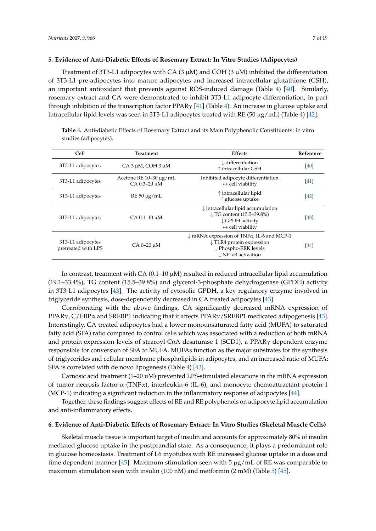Treatment of 3T3-L1 adipocytes with CA  $(3 \mu M)$  and COH  $(3 \mu M)$  inhibited the differentiation of 3T3-L1 pre-adipocytes into mature adipocytes and increased intracellular glutathione (GSH), an important antioxidant that prevents against ROS-induced damage (Table [4\)](#page-6-0) [\[40\]](#page-16-5). Similarly, rosemary extract and CA were demonstrated to inhibit 3T3-L1 adipocyte differentiation, in part through inhibition of the transcription factor PPARγ [\[41\]](#page-16-6) (Table [4\)](#page-6-0). An increase in glucose uptake and intracellular lipid levels was seen in 3T3-L1 adipocytes treated with RE (50 µg/mL) (Table [4\)](#page-6-0) [\[42\]](#page-16-7).

<span id="page-6-0"></span>**Table 4.** Anti-diabetic Effects of Rosemary Extract and its Main Polyphenolic Constituents: in vitro

| Cell                                     | Treatment                                   | <b>Effects</b>                                                                                                                                                          | Reference |
|------------------------------------------|---------------------------------------------|-------------------------------------------------------------------------------------------------------------------------------------------------------------------------|-----------|
| 3T3-L1 adipocytes                        | $CA$ 3 $\mu$ M, COH 3 $\mu$ M               | $\downarrow$ differentiation<br>$\uparrow$ intracellular GSH                                                                                                            | [40]      |
| 3T3-L1 adipocytes                        | Acetone RE $10-30 \mu g/mL$<br>CA 0.3-20 µM | Inhibited adipocyte differentiation<br>$\leftrightarrow$ cell viability                                                                                                 | $[41]$    |
| 3T3-L1 adipocytes                        | $RE 50 \mu g/mL$                            | $\uparrow$ intracellular lipid<br>$\uparrow$ glucose uptake                                                                                                             | [42]      |
| 3T3-L1 adipocytes                        | $CA$ 0.1-10 $\mu$ M                         | $\downarrow$ intracellular lipid accumulation<br>$\downarrow$ TG content (15.5–39.8%)<br>↓ GPDH activity<br>$\leftrightarrow$ cell viability                            | [43]      |
| 3T3-L1 adipocytes<br>pretreated with LPS | $CA 0-20 \mu M$                             | $\downarrow$ mRNA expression of TNF $\alpha$ , IL-6 and MCP-1<br>$\downarrow$ TLR4 protein expression<br>↓ Phospho-ERK levels<br>$\downarrow$ NF- $\kappa$ B activation | [44]      |

In contrast, treatment with CA  $(0.1-10 \mu M)$  resulted in reduced intracellular lipid accumulation (19.1–33.4%), TG content (15.5–39.8%) and glycerol-3-phosphate dehydrogenase (GPDH) activity in 3T3-L1 adipocytes [\[43\]](#page-16-8). The activity of cytosolic GPDH, a key regulatory enzyme involved in triglyceride synthesis, dose-dependently decreased in CA treated adipocytes [\[43\]](#page-16-8).

Corroborating with the above findings, CA significantly decreased mRNA expression of PPAR $\gamma$ , C/EBP $\alpha$  and SREBP1 indicating that it affects PPAR $\gamma$ /SREBP1 medicated adipogenesis [\[43\]](#page-16-8). Interestingly, CA treated adipocytes had a lower monounsaturated fatty acid (MUFA) to saturated fatty acid (SFA) ratio compared to control cells which was associated with a reduction of both mRNA and protein expression levels of stearoyl-CoA desaturase 1 (SCD1), a PPARγ dependent enzyme responsible for conversion of SFA to MUFA. MUFAs function as the major substrates for the synthesis of triglycerides and cellular membrane phospholipids in adipocytes, and an increased ratio of MUFA: SFA is correlated with de novo lipogenesis (Table [4\)](#page-6-0) [\[43\]](#page-16-8).

Carnosic acid treatment (1–20 uM) prevented LPS-stimulated elevations in the mRNA expression of tumor necrosis factor-α (TNFα), interleukin-6 (IL-6), and monocyte chemoattractant protein-1 (MCP-1) indicating a significant reduction in the inflammatory response of adipocytes [\[44\]](#page-16-9).

Together, these findings suggest effects of RE and RE polyphenols on adipocyte lipid accumulation and anti-inflammatory effects.

#### **6. Evidence of Anti-Diabetic Effects of Rosemary Extract: In Vitro Studies (Skeletal Muscle Cells)**

Skeletal muscle tissue is important target of insulin and accounts for approximately 80% of insulin mediated glucose uptake in the postprandial state. As a consequence, it plays a predominant role in glucose homeostasis. Treatment of L6 myotubes with RE increased glucose uptake in a dose and time dependent manner [\[45\]](#page-16-10). Maximum stimulation seen with 5  $\mu$ g/mL of RE was comparable to maximum stimulation seen with insulin (100 nM) and metformin (2 mM) (Table [5\)](#page-7-0) [\[45\]](#page-16-10).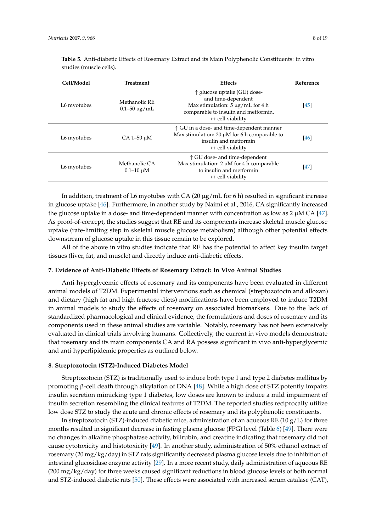| Cell/Model  | Treatment                            | <b>Effects</b>                                                                                                                                                                  | Reference |
|-------------|--------------------------------------|---------------------------------------------------------------------------------------------------------------------------------------------------------------------------------|-----------|
| L6 myotubes | Methanolic RE<br>$0.1 - 50 \mu g/mL$ | $\uparrow$ glucose uptake (GU) dose-<br>and time-dependent<br>Max stimulation: $5 \mu g/mL$ for 4 h<br>comparable to insulin and metformin.<br>$\leftrightarrow$ cell viability | [45]      |
| L6 myotubes | $CA$ 1-50 $\mu$ M                    | $\uparrow$ GU in a dose- and time-dependent manner<br>Max stimulation: 20 $\mu$ M for 6 h comparable to<br>insulin and metformin<br>$\leftrightarrow$ cell viability            | [46]      |
| L6 myotubes | Methanolic CA<br>$0.1 - 10 \mu M$    | $\uparrow$ GU dose- and time-dependent<br>Max stimulation: $2 \mu M$ for 4 h comparable<br>to insulin and metformin<br>$\leftrightarrow$ cell viability                         | [47]      |

<span id="page-7-0"></span>**Table 5.** Anti-diabetic Effects of Rosemary Extract and its Main Polyphenolic Constituents: in vitro studies (muscle cells).

In addition, treatment of L6 myotubes with CA (20  $\mu$ g/mL for 6 h) resulted in significant increase in glucose uptake [\[46\]](#page-16-11). Furthermore, in another study by Naimi et al., 2016, CA significantly increased the glucose uptake in a dose- and time-dependent manner with concentration as low as  $2 \mu M CA$  [\[47\]](#page-16-12). As proof-of-concept, the studies suggest that RE and its components increase skeletal muscle glucose uptake (rate-limiting step in skeletal muscle glucose metabolism) although other potential effects downstream of glucose uptake in this tissue remain to be explored.

All of the above in vitro studies indicate that RE has the potential to affect key insulin target tissues (liver, fat, and muscle) and directly induce anti-diabetic effects.

#### **7. Evidence of Anti-Diabetic Effects of Rosemary Extract: In Vivo Animal Studies**

Anti-hyperglycemic effects of rosemary and its components have been evaluated in different animal models of T2DM. Experimental interventions such as chemical (streptozotocin and alloxan) and dietary (high fat and high fructose diets) modifications have been employed to induce T2DM in animal models to study the effects of rosemary on associated biomarkers. Due to the lack of standardized pharmacological and clinical evidence, the formulations and doses of rosemary and its components used in these animal studies are variable. Notably, rosemary has not been extensively evaluated in clinical trials involving humans. Collectively, the current in vivo models demonstrate that rosemary and its main components CA and RA possess significant in vivo anti-hyperglycemic and anti-hyperlipidemic properties as outlined below.

#### **8. Streptozotocin (STZ)-Induced Diabetes Model**

Streptozotocin (STZ) is traditionally used to induce both type 1 and type 2 diabetes mellitus by promoting β-cell death through alkylation of DNA [\[48\]](#page-16-13). While a high dose of STZ potently impairs insulin secretion mimicking type 1 diabetes, low doses are known to induce a mild impairment of insulin secretion resembling the clinical features of T2DM. The reported studies reciprocally utilize low dose STZ to study the acute and chronic effects of rosemary and its polyphenolic constituents.

In streptozotocin (STZ)-induced diabetic mice, administration of an aqueous RE (10  $g/L$ ) for three months resulted in significant decrease in fasting plasma glucose (FPG) level (Table [6\)](#page-11-0) [\[49\]](#page-16-14). There were no changes in alkaline phosphatase activity, bilirubin, and creatine indicating that rosemary did not cause cytotoxicity and histotoxicity [\[49\]](#page-16-14). In another study, administration of 50% ethanol extract of rosemary (20 mg/kg/day) in STZ rats significantly decreased plasma glucose levels due to inhibition of intestinal glucosidase enzyme activity [\[29\]](#page-15-16). In a more recent study, daily administration of aqueous RE (200 mg/kg/day) for three weeks caused significant reductions in blood glucose levels of both normal and STZ-induced diabetic rats [\[50\]](#page-16-15). These effects were associated with increased serum catalase (CAT),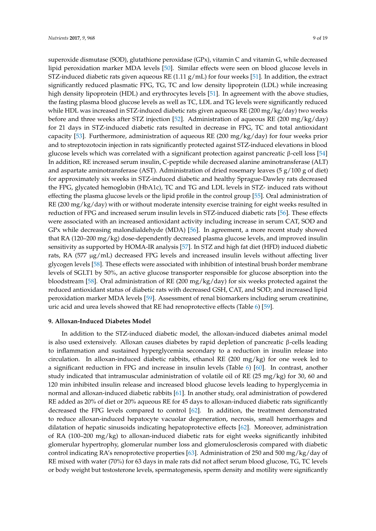superoxide dismutase (SOD), glutathione peroxidase (GPx), vitamin C and vitamin G, while decreased lipid peroxidation marker MDA levels [\[50\]](#page-16-15). Similar effects were seen on blood glucose levels in STZ-induced diabetic rats given aqueous RE  $(1.11 \text{ g/mL})$  for four weeks [\[51\]](#page-16-16). In addition, the extract significantly reduced plasmatic FPG, TG, TC and low density lipoprotein (LDL) while increasing high density lipoprotein (HDL) and erythrocytes levels [\[51\]](#page-16-16). In agreement with the above studies, the fasting plasma blood glucose levels as well as TC, LDL and TG levels were significantly reduced while HDL was increased in STZ-induced diabetic rats given aqueous RE (200 mg/kg/day) two weeks before and three weeks after STZ injection [\[52\]](#page-16-17). Administration of aqueous RE (200 mg/kg/day) for 21 days in STZ-induced diabetic rats resulted in decrease in FPG, TC and total antioxidant capacity [\[53\]](#page-16-18). Furthermore, administration of aqueous RE (200 mg/kg/day) for four weeks prior and to streptozotocin injection in rats significantly protected against STZ-induced elevations in blood glucose levels which was correlated with a significant protection against pancreatic β-cell loss [\[54\]](#page-16-19) In addition, RE increased serum insulin, C-peptide while decreased alanine aminotransferase (ALT) and aspartate aminotransferase (AST). Administration of dried rosemary leaves (5  $g/100 g$  of diet) for approximately six weeks in STZ-induced diabetic and healthy Sprague-Dawley rats decreased the FPG, glycated hemoglobin (HbA1c), TC and TG and LDL levels in STZ- induced rats without effecting the plasma glucose levels or the lipid profile in the control group [\[55\]](#page-17-0). Oral administration of RE (200 mg/kg/day) with or without moderate intensity exercise training for eight weeks resulted in reduction of FPG and increased serum insulin levels in STZ-induced diabetic rats [\[56\]](#page-17-1). These effects were associated with an increased antioxidant activity including increase in serum CAT, SOD and GPx while decreasing malondialdehyde (MDA) [\[56\]](#page-17-1). In agreement, a more recent study showed that RA (120–200 mg/kg) dose-dependently decreased plasma glucose levels, and improved insulin sensitivity as supported by HOMA-IR analysis [\[57\]](#page-17-2). In STZ and high fat diet (HFD) induced diabetic rats, RA  $(577 \mu g/mL)$  decreased FPG levels and increased insulin levels without affecting liver glycogen levels [\[58\]](#page-17-3). These effects were associated with inhibition of intestinal brush border membrane levels of SGLT1 by 50%, an active glucose transporter responsible for glucose absorption into the bloodstream [\[58\]](#page-17-3). Oral administration of RE (200 mg/kg/day) for six weeks protected against the reduced antioxidant status of diabetic rats with decreased GSH, CAT, and SOD; and increased lipid peroxidation marker MDA levels [\[59\]](#page-17-4). Assessment of renal biomarkers including serum creatinine, uric acid and urea levels showed that RE had renoprotective effects (Table [6\)](#page-11-0) [\[59\]](#page-17-4).

#### **9. Alloxan-Induced Diabetes Model**

In addition to the STZ-induced diabetic model, the alloxan-induced diabetes animal model is also used extensively. Alloxan causes diabetes by rapid depletion of pancreatic β-cells leading to inflammation and sustained hyperglycemia secondary to a reduction in insulin release into circulation. In alloxan-induced diabetic rabbits, ethanol RE (200 mg/kg) for one week led to a significant reduction in FPG and increase in insulin levels (Table [6\)](#page-11-0) [\[60\]](#page-17-5). In contrast, another study indicated that intramuscular administration of volatile oil of RE (25 mg/kg) for 30, 60 and 120 min inhibited insulin release and increased blood glucose levels leading to hyperglycemia in normal and alloxan-induced diabetic rabbits [\[61\]](#page-17-6). In another study, oral administration of powdered RE added as 20% of diet or 20% aqueous RE for 45 days to alloxan-induced diabetic rats significantly decreased the FPG levels compared to control [\[62\]](#page-17-7). In addition, the treatment demonstrated to reduce alloxan-induced hepatocyte vacuolar degeneration, necrosis, small hemorrhages and dilatation of hepatic sinusoids indicating hepatoprotective effects [\[62\]](#page-17-7). Moreover, administration of RA (100–200 mg/kg) to alloxan-induced diabetic rats for eight weeks significantly inhibited glomerular hypertrophy, glomerular number loss and glomerulosclerosis compared with diabetic control indicating RA's renoprotective properties [\[63\]](#page-17-8). Administration of 250 and 500 mg/kg/day of RE mixed with water (70%) for 63 days in male rats did not affect serum blood glucose, TG, TC levels or body weight but testosterone levels, spermatogenesis, sperm density and motility were significantly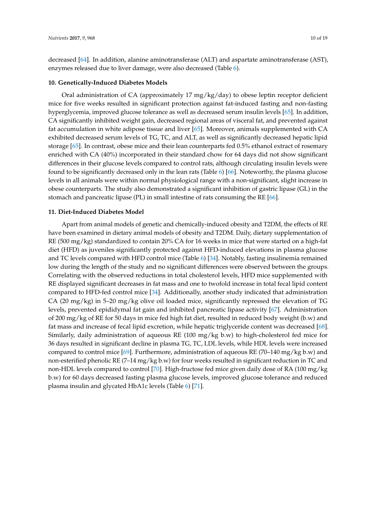decreased [\[64\]](#page-17-9). In addition, alanine aminotransferase (ALT) and aspartate aminotransferase (AST), enzymes released due to liver damage, were also decreased (Table [6\)](#page-11-0).

#### **10. Genetically-Induced Diabetes Models**

Oral administration of CA (approximately 17  $mg/kg/day$ ) to obese leptin receptor deficient mice for five weeks resulted in significant protection against fat-induced fasting and non-fasting hyperglycemia, improved glucose tolerance as well as decreased serum insulin levels [\[65\]](#page-17-10). In addition, CA significantly inhibited weight gain, decreased regional areas of visceral fat, and prevented against fat accumulation in white adipose tissue and liver [\[65\]](#page-17-10). Moreover, animals supplemented with CA exhibited decreased serum levels of TG, TC, and ALT, as well as significantly decreased hepatic lipid storage [\[65\]](#page-17-10). In contrast, obese mice and their lean counterparts fed 0.5% ethanol extract of rosemary enriched with CA (40%) incorporated in their standard chow for 64 days did not show significant differences in their glucose levels compared to control rats, although circulating insulin levels were found to be significantly decreased only in the lean rats (Table [6\)](#page-11-0) [\[66\]](#page-17-11). Noteworthy, the plasma glucose levels in all animals were within normal physiological range with a non-significant, slight increase in obese counterparts. The study also demonstrated a significant inhibition of gastric lipase (GL) in the stomach and pancreatic lipase (PL) in small intestine of rats consuming the RE [\[66\]](#page-17-11).

#### **11. Diet-Induced Diabetes Model**

Apart from animal models of genetic and chemically-induced obesity and T2DM, the effects of RE have been examined in dietary animal models of obesity and T2DM. Daily, dietary supplementation of RE (500 mg/kg) standardized to contain 20% CA for 16 weeks in mice that were started on a high-fat diet (HFD) as juveniles significantly protected against HFD-induced elevations in plasma glucose and TC levels compared with HFD control mice (Table [6\)](#page-11-0) [\[34\]](#page-15-21). Notably, fasting insulinemia remained low during the length of the study and no significant differences were observed between the groups. Correlating with the observed reductions in total cholesterol levels, HFD mice supplemented with RE displayed significant decreases in fat mass and one to twofold increase in total fecal lipid content compared to HFD-fed control mice [\[34\]](#page-15-21). Additionally, another study indicated that administration CA (20 mg/kg) in 5–20 mg/kg olive oil loaded mice, significantly repressed the elevation of TG levels, prevented epididymal fat gain and inhibited pancreatic lipase activity [\[67\]](#page-17-12). Administration of 200 mg/kg of RE for 50 days in mice fed high fat diet, resulted in reduced body weight (b.w) and fat mass and increase of fecal lipid excretion, while hepatic triglyceride content was decreased [\[68\]](#page-17-13). Similarly, daily administration of aqueous RE (100 mg/kg b.w) to high-cholesterol fed mice for 36 days resulted in significant decline in plasma TG, TC, LDL levels, while HDL levels were increased compared to control mice [\[69\]](#page-17-14). Furthermore, administration of aqueous RE (70–140 mg/kg b.w) and non-esterified phenolic RE (7–14 mg/kg b.w) for four weeks resulted in significant reduction in TC and non-HDL levels compared to control [\[70\]](#page-17-15). High-fructose fed mice given daily dose of RA (100 mg/kg b.w) for 60 days decreased fasting plasma glucose levels, improved glucose tolerance and reduced plasma insulin and glycated HbA1c levels (Table [6\)](#page-11-0) [\[71\]](#page-17-16).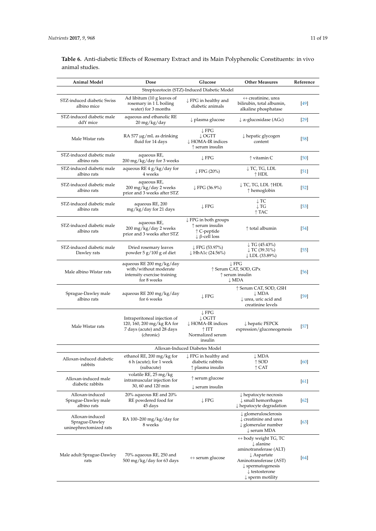**Table 6.** Anti-diabetic Effects of Rosemary Extract and its Main Polyphenolic Constituents: in vivo animal studies.

| <b>Animal Model</b>                                         | Dose                                                                                                  | Glucose                                                                                                       | <b>Other Measures</b>                                                                                                                                                                                                                  | Reference         |
|-------------------------------------------------------------|-------------------------------------------------------------------------------------------------------|---------------------------------------------------------------------------------------------------------------|----------------------------------------------------------------------------------------------------------------------------------------------------------------------------------------------------------------------------------------|-------------------|
|                                                             |                                                                                                       | Streptozotocin (STZ)-Induced Diabetic Model                                                                   |                                                                                                                                                                                                                                        |                   |
| STZ-induced diabetic Swiss<br>albino mice                   | Ad libitum (10 g leaves of<br>rosemary in 1 L boiling<br>water) for 3 months                          | $\downarrow$ FPG in healthy and<br>diabetic animals                                                           | $\leftrightarrow$ creatinine, urea<br>bilirubin, total albumin,<br>alkaline phosphatase                                                                                                                                                | [49]              |
| STZ-induced diabetic male<br>ddY mice                       | aqueous and ethanolic RE<br>20 mg/kg/day                                                              | $\downarrow$ plasma glucose                                                                                   | $\downarrow \alpha$ -glucosidase (AGc)                                                                                                                                                                                                 | $[29]$            |
| Male Wistar rats                                            | RA 577 $\mu$ g/mL as drinking<br>fluid for 14 days                                                    | $\downarrow$ FPG<br>$\downarrow$ OGTT<br>↓ HOMA-IR indices<br>$\uparrow$ serum insulin                        | $\downarrow$ hepatic glycogen<br>content                                                                                                                                                                                               | $\sqrt{58}$       |
| STZ-induced diabetic male<br>albino rats                    | aqueous RE,<br>200 mg/kg/day for 3 weeks                                                              | $\downarrow$ FPG                                                                                              | $\uparrow$ vitamin C                                                                                                                                                                                                                   | [50]              |
| STZ-induced diabetic male<br>albino rats                    | aqueous RE 4 g/kg/day for<br>4 weeks                                                                  | $\downarrow$ FPG (20%)                                                                                        | ↓TC, TG, LDL<br>$\uparrow$ HDL                                                                                                                                                                                                         | $\left[51\right]$ |
| STZ-induced diabetic male<br>albino rats                    | aqueous RE,<br>200 mg/kg/day 2 weeks<br>prior and 3 weeks after STZ                                   | $\downarrow$ FPG (36.9%)                                                                                      | ↓ TC, TG, LDL ↑HDL<br>$\uparrow$ hemoglobin                                                                                                                                                                                            | $\left[52\right]$ |
| STZ-induced diabetic male<br>albino rats                    | aqueous RE, 200<br>mg/kg/day for 21 days                                                              | $\downarrow$ FPG                                                                                              | $\downarrow$ TC<br>$\downarrow$ TG<br>$\uparrow$ TAC                                                                                                                                                                                   | $[53]$            |
| STZ-induced diabetic male<br>albino rats                    | aqueous RE,<br>200 mg/kg/day 2 weeks<br>prior and 3 weeks after STZ                                   | $\downarrow$ FPG in both groups<br>$\uparrow$ serum insulin<br>↑ C-peptide<br>$\downarrow$ $\beta$ -cell loss | ↑ total albumin                                                                                                                                                                                                                        | [54]              |
| STZ-induced diabetic male<br>Dawley rats                    | Dried rosemary leaves<br>powder 5 g/100 g of diet                                                     | ↓FPG (53.97%)<br>$\downarrow$ HbA1c (24.56%)                                                                  | $\downarrow$ TG (45.43%)<br>$\downarrow$ TC (39.31%)<br>↓ LDL (33.89%)                                                                                                                                                                 | $[55]$            |
| Male albino Wistar rats                                     | aqueous RE 200 mg/kg/day<br>with/without moderate<br>intensity exercise training<br>for 8 weeks       |                                                                                                               | $\downarrow$ FPG<br>↑ Serum CAT, SOD, GPx<br>$\uparrow$ serum insulin<br>$\downarrow$ MDA                                                                                                                                              | [56]              |
| Sprague-Dawley male<br>albino rats                          | aqueous RE 200 mg/kg/day<br>for 6 weeks                                                               | $\downarrow$ FPG                                                                                              | ↑ Serum CAT, SOD, GSH<br>$\downarrow$ MDA<br>$\downarrow$ urea, uric acid and<br>creatinine levels                                                                                                                                     | [59]              |
| Male Wistar rats                                            | Intraperitoneal injection of<br>120, 160, 200 mg/kg RA for<br>7 days (acute) and 28 days<br>(chronic) | $\downarrow$ FPG<br>$\downarrow$ OGTT<br>↓ HOMA-IR indices<br>$\uparrow$ ITT<br>Normalized serum<br>insulin   | $\downarrow$ hepatic PEPCK<br>expression/gluconeogenesis                                                                                                                                                                               | $[57]$            |
|                                                             |                                                                                                       | Alloxan-Induced Diabetes Model                                                                                |                                                                                                                                                                                                                                        |                   |
| Alloxan-induced diabetic<br>rabbits                         | ethanol RE, 200 mg/kg for<br>6 h (acute); for 1 week<br>(subacute)                                    | ↓ FPG in healthy and<br>diabetic rabbits<br>$\uparrow$ plasma insulin                                         | $\downarrow$ MDA<br>$\uparrow$ SOD<br>$\uparrow$ CAT                                                                                                                                                                                   | [60]              |
| Alloxan-induced male<br>diabetic rabbits                    | volatile RE, 25 mg/kg<br>intramuscular injection for<br>30, 60 and 120 min                            | $\uparrow$ serum glucose<br>$\downarrow$ serum insulin                                                        |                                                                                                                                                                                                                                        | [61]              |
| Alloxan-induced<br>Sprague-Dawley male<br>albino rats       | 20% aqueous RE and 20%<br>RE powdered food for<br>45 days                                             | $\downarrow$ FPG                                                                                              | $\downarrow$ hepatocyte necrosis<br>$\downarrow$ small hemorrhages<br>$\downarrow$ hepatocyte degradation                                                                                                                              | $[62]$            |
| Alloxan-induced<br>Sprague-Dawley<br>uninephrectomized rats | RA 100-200 mg/kg/day for<br>8 weeks                                                                   |                                                                                                               | $\downarrow$ glomerulosclerosis<br>$\downarrow$ creatinine and urea<br>$\downarrow$ glomerular number<br>$\downarrow$ serum MDA                                                                                                        | $[63]$            |
| Male adult Sprague-Dawley<br>rats                           | 70% aqueous RE, 250 and<br>500 mg/kg/day for 63 days                                                  | $\leftrightarrow$ serum glucose                                                                               | $\leftrightarrow$ body weight TG, TC<br>$\downarrow$ alanine<br>aminotransferase (ALT)<br>$\downarrow$ Aspartate<br>Aminotransferase (AST)<br>$\downarrow$ spermatogenesis<br>$\downarrow$ testosterone<br>$\downarrow$ sperm motility | [64]              |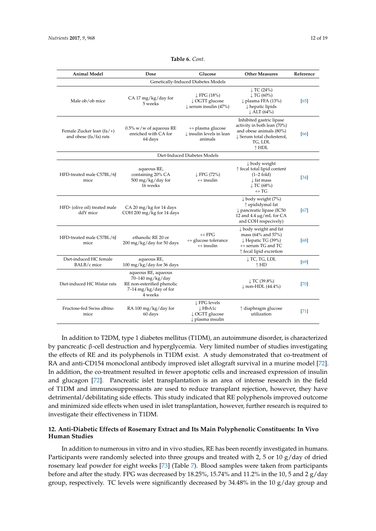<span id="page-11-0"></span>

| <b>Animal Model</b>                                     | Dose                                                                                                      | Glucose                                                                                   | <b>Other Measures</b>                                                                                                                             | Reference         |
|---------------------------------------------------------|-----------------------------------------------------------------------------------------------------------|-------------------------------------------------------------------------------------------|---------------------------------------------------------------------------------------------------------------------------------------------------|-------------------|
|                                                         |                                                                                                           | Genetically-Induced Diabetes Models                                                       |                                                                                                                                                   |                   |
| Male ob/ob mice                                         | CA 17 mg/kg/day for<br>5 weeks                                                                            | $\downarrow$ FPG (18%)<br>$\downarrow$ OGTT glucose<br>$\downarrow$ serum insulin (47%)   | $\downarrow$ TC (24%)<br>$\downarrow$ TG (60%)<br>$\downarrow$ plasma FFA (13%)<br>$\downarrow$ hepatic lipids<br>$\downarrow$ ALT (64%)          | [65]              |
| Female Zucker lean $(fa/+)$<br>and obese $(fa/fa)$ rats | $0.5\%$ w/w of aqueous RE<br>enriched with CA for<br>64 days                                              | $\leftrightarrow$ plasma glucose<br>$\downarrow$ insulin levels in lean<br>animals        | Inhibited gastric lipase<br>activity in both lean (70%)<br>and obese animals (80%)<br>↓ Serum total cholesterol,<br>TG, LDL<br>$\uparrow$ HDL     | 66                |
|                                                         |                                                                                                           | Diet-Induced Diabetes Models                                                              |                                                                                                                                                   |                   |
| HFD-treated male C57BL/6J<br>mice                       | aqueous RE,<br>containing 20% CA<br>500 mg/kg/day for<br>16 weeks                                         | $\downarrow$ FPG (72%)<br>$\leftrightarrow$ insulin                                       | $\downarrow$ body weight<br>↑ fecal total lipid content<br>$(1-2$ fold)<br>$\downarrow$ fat mass<br>$\downarrow$ TC (68%)<br>$\leftrightarrow$ TG | $\left[34\right]$ |
| HFD- (olive oil) treated male<br>ddY mice               | CA 20 mg/kg for 14 days<br>COH 200 mg/kg for 14 days                                                      |                                                                                           | $\downarrow$ body weight (7%)<br>↑ epididymal fat<br>$\downarrow$ pancreatic lipase (IC50<br>12 and 4.4 $\mu$ g/mL for CA<br>and COH respecively) | 67                |
| HFD-treated male C57BL/6I<br>mice                       | ethanolic RE 20 or<br>200 mg/kg/day for 50 days                                                           | $\leftrightarrow$ FPG<br>$\leftrightarrow$ glucose tolerance<br>$\leftrightarrow$ insulin | $\downarrow$ body weight and fat<br>mass (64% and 57%)<br>↓ Hepatic TG (39%)<br>$\leftrightarrow$ serum TG and TC<br>↑ fecal lipid excretion      | 68                |
| Diet-induced HC female<br>BALB/c mice                   | aqueous RE,<br>100 mg/kg/day for 36 days                                                                  |                                                                                           | $\downarrow$ TC, TG, LDL<br>↑HD                                                                                                                   | 69                |
| Diet-induced HC Wistar rats                             | aqueous RE, aqueous<br>70-140 mg/kg/day<br>RE non-esterified phenolic<br>7-14 mg/kg/day of for<br>4 weeks |                                                                                           | $\downarrow$ TC (39.8%)<br>$\downarrow$ non-HDL (44.4%)                                                                                           | [70]              |
| Fructose-fed Swiss albino<br>mice                       | RA 100 mg/kg/day for<br>60 days                                                                           | $\downarrow$ FPG levels<br>↓HbA1c<br>↓ OGTT glucose<br>$\downarrow$ plasma insulin        | ↑ diaphragm glucose<br>utilization                                                                                                                | [71]              |

#### **Table 6.** *Cont*.

In addition to T2DM, type 1 diabetes mellitus (T1DM), an autoimmune disorder, is characterized by pancreatic β-cell destruction and hyperglycemia. Very limited number of studies investigating the effects of RE and its polyphenols in T1DM exist. A study demonstrated that co-treatment of RA and anti-CD154 monoclonal antibody improved islet allograft survival in a murine model [\[72\]](#page-17-17). In addition, the co-treatment resulted in fewer apoptotic cells and increased expression of insulin and glucagon [\[72\]](#page-17-17). Pancreatic islet transplantation is an area of intense research in the field of T1DM and immunosuppressants are used to reduce transplant rejection, however, they have detrimental/debilitating side effects. This study indicated that RE polyphenols improved outcome and minimized side effects when used in islet transplantation, however, further research is required to investigate their effectiveness in T1DM.

### **12. Anti-Diabetic Effects of Rosemary Extract and Its Main Polyphenolic Constituents: In Vivo Human Studies**

In addition to numerous in vitro and in vivo studies, RE has been recently investigated in humans. Participants were randomly selected into three groups and treated with 2, 5 or 10 g/day of dried rosemary leaf powder for eight weeks [\[73\]](#page-17-18) (Table [7\)](#page-12-0). Blood samples were taken from participants before and after the study. FPG was decreased by 18.25%, 15.74% and 11.2% in the 10, 5 and 2 g/day group, respectively. TC levels were significantly decreased by  $34.48\%$  in the 10 g/day group and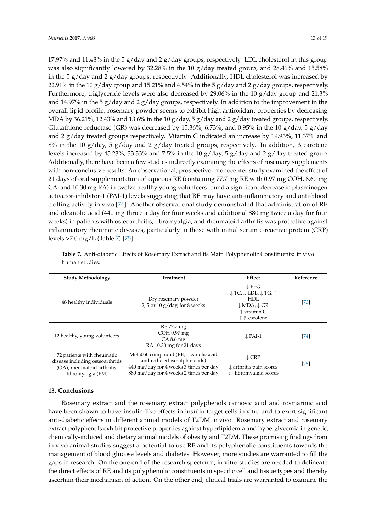17.97% and 11.48% in the 5  $g/day$  and 2  $g/day$  groups, respectively. LDL cholesterol in this group was also significantly lowered by 32.28% in the 10 g/day treated group, and 28.46% and 15.58% in the 5  $g$ /day and 2  $g$ /day groups, respectively. Additionally, HDL cholesterol was increased by 22.91% in the 10 g/day group and 15.21% and 4.54% in the 5 g/day and 2 g/day groups, respectively. Furthermore, triglyceride levels were also decreased by 29.06% in the 10 g/day group and 21.3% and 14.97% in the 5 g/day and 2 g/day groups, respectively. In addition to the improvement in the overall lipid profile, rosemary powder seems to exhibit high antioxidant properties by decreasing MDA by 36.21%, 12.43% and 13.6% in the 10 g/day, 5 g/day and 2 g/day treated groups, respectively. Glutathione reductase (GR) was decreased by 15.36%, 6.73%, and 0.95% in the 10  $g/day$ , 5  $g/day$ and 2 g/day treated groups respectively. Vitamin C indicated an increase by 19.93%, 11.37% and 8% in the 10 g/day, 5 g/day and 2 g/day treated groups, respectively. In addition, β carotene levels increased by 45.23%, 33.33% and 7.5% in the 10  $g/day$ , 5  $g/day$  and 2  $g/day$  treated group. Additionally, there have been a few studies indirectly examining the effects of rosemary supplements with non-conclusive results. An observational, prospective, monocenter study examined the effect of 21 days of oral supplementation of aqueous RE (containing 77.7 mg RE with 0.97 mg COH, 8.60 mg CA, and 10.30 mg RA) in twelve healthy young volunteers found a significant decrease in plasminogen activator-inhibitor-1 (PAI-1) levels suggesting that RE may have anti-inflammatory and anti-blood clotting activity in vivo [\[74\]](#page-18-0). Another observational study demonstrated that administration of RE and oleanolic acid (440 mg thrice a day for four weeks and additional 880 mg twice a day for four weeks) in patients with osteoarthritis, fibromyalgia, and rheumatoid arthritis was protective against inflammatory rheumatic diseases, particularly in those with initial serum c-reactive protein (CRP) levels >7.0 mg/L (Table [7\)](#page-12-0) [\[75\]](#page-18-1).

| <b>Study Methodology</b>                                                                                           | <b>Treatment</b>                                                                                                                                         | Effect                                                                                                                                                                               | Reference |
|--------------------------------------------------------------------------------------------------------------------|----------------------------------------------------------------------------------------------------------------------------------------------------------|--------------------------------------------------------------------------------------------------------------------------------------------------------------------------------------|-----------|
| 48 healthy individuals                                                                                             | Dry rosemary powder<br>2, 5 or 10 $g$ /day, for 8 weeks                                                                                                  | $\downarrow$ FPG<br>$\downarrow$ TC, $\downarrow$ LDL, $\downarrow$ TG, $\uparrow$<br>HDL<br>$\downarrow$ MDA, $\downarrow$ GR<br>$\uparrow$ vitamin C<br>$\uparrow \beta$ -carotene | [73]      |
| 12 healthy, young volunteers                                                                                       | RE 77.7 mg<br>$COH$ 0.97 mg<br>CA 8.6 mg<br>RA 10.30 mg for 21 days                                                                                      | $\downarrow$ PAI-1                                                                                                                                                                   | [74]      |
| 72 patients with rheumatic<br>disease including osteoarthritis<br>(OA), rheumatoid arthritis,<br>fibromyalgia (FM) | Meta050 compound (RE, oleanolic acid<br>and reduced iso-alpha-acids)<br>440 mg/day for 4 weeks 3 times per day<br>880 mg/day for 4 weeks 2 times per day | $\downarrow$ CRP<br>$\downarrow$ arthritis pain scores<br>$\leftrightarrow$ fibromyalgia scores                                                                                      | [75]      |

<span id="page-12-0"></span>**Table 7.** Anti-diabetic Effects of Rosemary Extract and its Main Polyphenolic Constituents: in vivo human studies.

#### **13. Conclusions**

Rosemary extract and the rosemary extract polyphenols carnosic acid and rosmarinic acid have been shown to have insulin-like effects in insulin target cells in vitro and to exert significant anti-diabetic effects in different animal models of T2DM in vivo. Rosemary extract and rosemary extract polyphenols exhibit protective properties against hyperlipidemia and hyperglycemia in genetic, chemically-induced and dietary animal models of obesity and T2DM. These promising findings from in vivo animal studies suggest a potential to use RE and its polyphenolic constituents towards the management of blood glucose levels and diabetes. However, more studies are warranted to fill the gaps in research. On the one end of the research spectrum, in vitro studies are needed to delineate the direct effects of RE and its polyphenolic constituents in specific cell and tissue types and thereby ascertain their mechanism of action. On the other end, clinical trials are warranted to examine the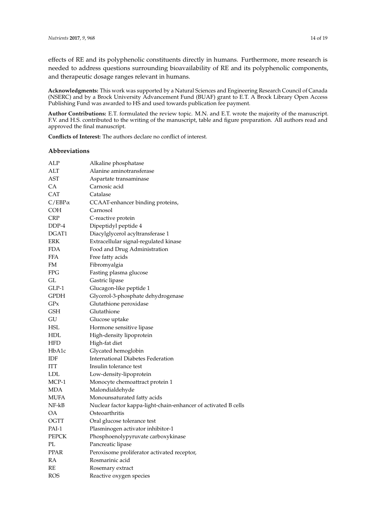effects of RE and its polyphenolic constituents directly in humans. Furthermore, more research is needed to address questions surrounding bioavailability of RE and its polyphenolic components, and therapeutic dosage ranges relevant in humans.

**Acknowledgments:** This work was supported by a Natural Sciences and Engineering Research Council of Canada (NSERC) and by a Brock University Advancement Fund (BUAF) grant to E.T. A Brock Library Open Access Publishing Fund was awarded to HS and used towards publication fee payment.

**Author Contributions:** E.T. formulated the review topic. M.N. and E.T. wrote the majority of the manuscript. F.V. and H.S. contributed to the writing of the manuscript, table and figure preparation. All authors read and approved the final manuscript.

**Conflicts of Interest:** The authors declare no conflict of interest.

#### **Abbreviations**

| ALP           | Alkaline phosphatase                                           |
|---------------|----------------------------------------------------------------|
| ALT           | Alanine aminotransferase                                       |
| AST           | Aspartate transaminase                                         |
| СA            | Carnosic acid                                                  |
| CAT           | Catalase                                                       |
| $C/EBP\alpha$ | CCAAT-enhancer binding proteins,                               |
| COH           | Carnosol                                                       |
| CRP           | C-reactive protein                                             |
| DDP-4         | Dipeptidyl peptide 4                                           |
| DGAT1         | Diacylglycerol acyltransferase 1                               |
| ERK           | Extracellular signal-regulated kinase                          |
| FDA           | Food and Drug Administration                                   |
| <b>FFA</b>    | Free fatty acids                                               |
| FM            | Fibromyalgia                                                   |
| FPG           | Fasting plasma glucose                                         |
| GL            | Gastric lipase                                                 |
| GLP-1         | Glucagon-like peptide 1                                        |
| GPDH          | Glycerol-3-phosphate dehydrogenase                             |
| GPx           | Glutathione peroxidase                                         |
| GSH           | Glutathione                                                    |
| GU            | Glucose uptake                                                 |
| HSL           | Hormone sensitive lipase                                       |
| HDL           | High-density lipoprotein                                       |
| HFD           | High-fat diet                                                  |
| HbA1c         | Glycated hemoglobin                                            |
| IDF           | International Diabetes Federation                              |
| ITT           | Insulin tolerance test                                         |
| LDL           | Low-density-lipoprotein                                        |
| MCP-1         | Monocyte chemoattract protein 1                                |
| MDA           | Malondialdehyde                                                |
| MUFA          | Monounsaturated fatty acids                                    |
| NF-kB         | Nuclear factor kappa-light-chain-enhancer of activated B cells |
| OA            | Osteoarthritis                                                 |
| OGTT          | Oral glucose tolerance test                                    |
| PAI-1         | Plasminogen activator inhibitor-1                              |
| <b>PEPCK</b>  | Phosphoenolypyruvate carboxykinase                             |
| PL            | Pancreatic lipase                                              |
| PPAR          | Peroxisome proliferator activated receptor,                    |
| RA            | Rosmarinic acid                                                |
| RE            | Rosemary extract                                               |
| ROS           | Reactive oxygen species                                        |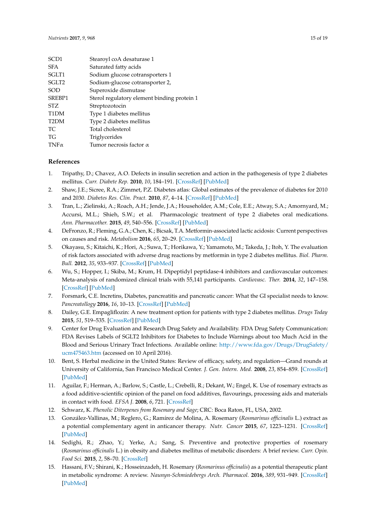| SCD <sub>1</sub>  | Stearoyl coA desaturase 1                   |
|-------------------|---------------------------------------------|
| <b>SFA</b>        | Saturated fatty acids                       |
| SGLT1             | Sodium glucose cotransporters 1             |
| SGLT <sub>2</sub> | Sodium-glucose cotransporter 2,             |
| <b>SOD</b>        | Superoxide dismutase                        |
| SREBP1            | Sterol regulatory element binding protein 1 |
| STZ.              | Streptozotocin                              |
| T <sub>1</sub> DM | Type 1 diabetes mellitus                    |
| T <sub>2</sub> DM | Type 2 diabetes mellitus                    |
| TC.               | Total cholesterol                           |
| ТG                | Triglycerides                               |
| $TNF\alpha$       | Tumor necrosis factor $\alpha$              |
|                   |                                             |

# **References**

- <span id="page-14-0"></span>1. Tripathy, D.; Chavez, A.O. Defects in insulin secretion and action in the pathogenesis of type 2 diabetes mellitus. *Curr. Diabete Rep.* **2010**, *10*, 184–191. [\[CrossRef\]](http://dx.doi.org/10.1007/s11892-010-0115-5) [\[PubMed\]](http://www.ncbi.nlm.nih.gov/pubmed/20425581)
- <span id="page-14-1"></span>2. Shaw, J.E.; Sicree, R.A.; Zimmet, P.Z. Diabetes atlas: Global estimates of the prevalence of diabetes for 2010 and 2030. *Diabetes Res. Clin. Pract.* **2010**, *87*, 4–14. [\[CrossRef\]](http://dx.doi.org/10.1016/j.diabres.2009.10.007) [\[PubMed\]](http://www.ncbi.nlm.nih.gov/pubmed/19896746)
- <span id="page-14-2"></span>3. Tran, L.; Zielinski, A.; Roach, A.H.; Jende, J.A.; Householder, A.M.; Cole, E.E.; Atway, S.A.; Amornyard, M.; Accursi, M.L.; Shieh, S.W.; et al. Pharmacologic treatment of type 2 diabetes oral medications. *Ann. Pharmacother.* **2015**, *49*, 540–556. [\[CrossRef\]](http://dx.doi.org/10.1177/1060028014558289) [\[PubMed\]](http://www.ncbi.nlm.nih.gov/pubmed/25667196)
- <span id="page-14-3"></span>4. DeFronzo, R.; Fleming, G.A.; Chen, K.; Bicsak, T.A. Metformin-associated lactic acidosis: Current perspectives on causes and risk. *Metabolism* **2016**, *65*, 20–29. [\[CrossRef\]](http://dx.doi.org/10.1016/j.metabol.2015.10.014) [\[PubMed\]](http://www.ncbi.nlm.nih.gov/pubmed/26773926)
- <span id="page-14-4"></span>5. Okayasu, S.; Kitaichi, K.; Hori, A.; Suwa, T.; Horikawa, Y.; Yamamoto, M.; Takeda, J.; Itoh, Y. The evaluation of risk factors associated with adverse drug reactions by metformin in type 2 diabetes mellitus. *Biol. Pharm. Bull.* **2012**, *35*, 933–937. [\[CrossRef\]](http://dx.doi.org/10.1248/bpb.35.933) [\[PubMed\]](http://www.ncbi.nlm.nih.gov/pubmed/22687486)
- <span id="page-14-5"></span>6. Wu, S.; Hopper, I.; Skiba, M.; Krum, H. Dipeptidyl peptidase-4 inhibitors and cardiovascular outcomes: Meta-analysis of randomized clinical trials with 55,141 participants. *Cardiovasc. Ther.* **2014**, *32*, 147–158. [\[CrossRef\]](http://dx.doi.org/10.1111/1755-5922.12075) [\[PubMed\]](http://www.ncbi.nlm.nih.gov/pubmed/24750644)
- <span id="page-14-6"></span>7. Forsmark, C.E. Incretins, Diabetes, pancreatitis and pancreatic cancer: What the GI specialist needs to know. *Pancreatollogy* **2016**, *16*, 10–13. [\[CrossRef\]](http://dx.doi.org/10.1016/j.pan.2015.11.009) [\[PubMed\]](http://www.ncbi.nlm.nih.gov/pubmed/26795258)
- <span id="page-14-7"></span>8. Dailey, G.E. Empagliflozin: A new treatment option for patients with type 2 diabetes mellitus. *Drugs Today* **2015**, *51*, 519–535. [\[CrossRef\]](http://dx.doi.org/10.1358/dot.2015.51.9.2368554) [\[PubMed\]](http://www.ncbi.nlm.nih.gov/pubmed/26488032)
- <span id="page-14-8"></span>9. Center for Drug Evaluation and Research Drug Safety and Availability. FDA Drug Safety Communication: FDA Revises Labels of SGLT2 Inhibitors for Diabetes to Include Warnings about too Much Acid in the Blood and Serious Urinary Tract Infections. Available online: [http://www.fda.gov/Drugs/DrugSafety/](http://www.fda.gov/Drugs/DrugSafety/ucm475463.htm) [ucm475463.htm](http://www.fda.gov/Drugs/DrugSafety/ucm475463.htm) (accessed on 10 April 2016).
- <span id="page-14-9"></span>10. Bent, S. Herbal medicine in the United States: Review of efficacy, safety, and regulation—Grand rounds at University of California, San Francisco Medical Center. *J. Gen. Intern. Med.* **2008**, *23*, 854–859. [\[CrossRef\]](http://dx.doi.org/10.1007/s11606-008-0632-y) [\[PubMed\]](http://www.ncbi.nlm.nih.gov/pubmed/18415652)
- <span id="page-14-10"></span>11. Aguilar, F.; Herman, A.; Barlow, S.; Castle, L.; Crebelli, R.; Dekant, W.; Engel, K. Use of rosemary extracts as a food additive-scientific opinion of the panel on food additives, flavourings, processing aids and materials in contact with food. *EFSA J.* **2008**, *6*, 721. [\[CrossRef\]](http://dx.doi.org/10.2903/j.efsa.2008.721)
- <span id="page-14-11"></span>12. Schwarz, K. *Phenolic Diterpenes from Rosemary and Sage*; CRC: Boca Raton, FL, USA, 2002.
- 13. González-Vallinas, M.; Reglero, G.; Ramírez de Molina, A. Rosemary (*Rosmarinus officinalis* L.) extract as a potential complementary agent in anticancer therapy. *Nutr. Cancer* **2015**, *67*, 1223–1231. [\[CrossRef\]](http://dx.doi.org/10.1080/01635581.2015.1082110) [\[PubMed\]](http://www.ncbi.nlm.nih.gov/pubmed/26452641)
- <span id="page-14-12"></span>14. Sedighi, R.; Zhao, Y.; Yerke, A.; Sang, S. Preventive and protective properties of rosemary (*Rosmarinus officinalis* L.) in obesity and diabetes mellitus of metabolic disorders: A brief review. *Curr. Opin. Food Sci.* **2015**, *2*, 58–70. [\[CrossRef\]](http://dx.doi.org/10.1016/j.cofs.2015.02.002)
- <span id="page-14-13"></span>15. Hassani, F.V.; Shirani, K.; Hosseinzadeh, H. Rosemary (*Rosmarinus officinalis*) as a potential therapeutic plant in metabolic syndrome: A review. *Naunyn-Schmiedebergs Arch. Pharmacol.* **2016**, *389*, 931–949. [\[CrossRef\]](http://dx.doi.org/10.1007/s00210-016-1256-0) [\[PubMed\]](http://www.ncbi.nlm.nih.gov/pubmed/27178264)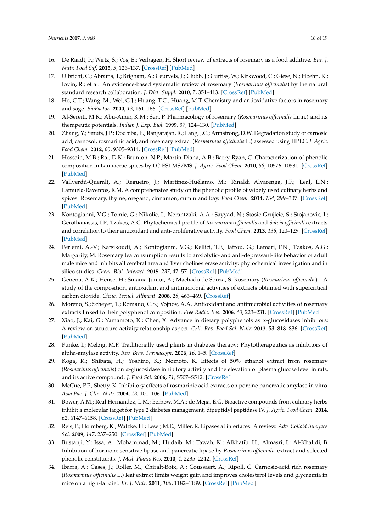- <span id="page-15-12"></span><span id="page-15-11"></span><span id="page-15-10"></span><span id="page-15-9"></span><span id="page-15-0"></span>16. De Raadt, P.; Wirtz, S.; Vos, E.; Verhagen, H. Short review of extracts of rosemary as a food additive. *Eur. J. Nutr. Food Saf.* **2015**, *5*, 126–137. [\[CrossRef\]](http://dx.doi.org/10.9734/EJNFS/2015/10404) [\[PubMed\]](http://www.ncbi.nlm.nih.gov/pubmed/28134078)
- <span id="page-15-1"></span>17. Ulbricht, C.; Abrams, T.; Brigham, A.; Ceurvels, J.; Clubb, J.; Curtiss, W.; Kirkwood, C.; Giese, N.; Hoehn, K.; Iovin, R.; et al. An evidence-based systematic review of rosemary (*Rosmarinus officinalis*) by the natural standard research collaboration. *J. Diet. Suppl.* **2010**, *7*, 351–413. [\[CrossRef\]](http://dx.doi.org/10.3109/19390211.2010.525049) [\[PubMed\]](http://www.ncbi.nlm.nih.gov/pubmed/22432564)
- <span id="page-15-13"></span><span id="page-15-2"></span>18. Ho, C.T.; Wang, M.; Wei, G.J.; Huang, T.C.; Huang, M.T. Chemistry and antioxidative factors in rosemary and sage. *BioFactors* **2000**, *13*, 161–166. [\[CrossRef\]](http://dx.doi.org/10.1002/biof.5520130126) [\[PubMed\]](http://www.ncbi.nlm.nih.gov/pubmed/11237177)
- 19. Al-Sereiti, M.R.; Abu-Amer, K.M.; Sen, P. Pharmacology of rosemary (*Rosmarinus officinalis* Linn.) and its therapeutic potentials. *Indian J. Exp. Biol.* **1999**, *37*, 124–130. [\[PubMed\]](http://www.ncbi.nlm.nih.gov/pubmed/10641130)
- 20. Zhang, Y.; Smuts, J.P.; Dodbiba, E.; Rangarajan, R.; Lang, J.C.; Armstrong, D.W. Degradation study of carnosic acid, carnosol, rosmarinic acid, and rosemary extract (*Rosmarinus officinalis* L.) assessed using HPLC. *J. Agric. Food Chem.* **2012**, *60*, 9305–9314. [\[CrossRef\]](http://dx.doi.org/10.1021/jf302179c) [\[PubMed\]](http://www.ncbi.nlm.nih.gov/pubmed/22881034)
- <span id="page-15-4"></span>21. Hossain, M.B.; Rai, D.K.; Brunton, N.P.; Martin-Diana, A.B.; Barry-Ryan, C. Characterization of phenolic composition in Lamiaceae spices by LC-ESI-MS/MS. *J. Agric. Food Chem.* **2010**, *58*, 10576–10581. [\[CrossRef\]](http://dx.doi.org/10.1021/jf102042g) [\[PubMed\]](http://www.ncbi.nlm.nih.gov/pubmed/20825192)
- <span id="page-15-3"></span>22. Vallverdú-Queralt, A.; Regueiro, J.; Martínez-Huélamo, M.; Rinaldi Alvarenga, J.F.; Leal, L.N.; Lamuela-Raventos, R.M. A comprehensive study on the phenolic profile of widely used culinary herbs and spices: Rosemary, thyme, oregano, cinnamon, cumin and bay. *Food Chem.* **2014**, *154*, 299–307. [\[CrossRef\]](http://dx.doi.org/10.1016/j.foodchem.2013.12.106) [\[PubMed\]](http://www.ncbi.nlm.nih.gov/pubmed/24518346)
- <span id="page-15-5"></span>23. Kontogianni, V.G.; Tomic, G.; Nikolic, I.; Nerantzaki, A.A.; Sayyad, N.; Stosic-Grujicic, S.; Stojanovic, I.; Gerothanassis, I.P.; Tzakos, A.G. Phytochemical profile of *Rosmarinus officinalis* and *Salvia officinalis* extracts and correlation to their antioxidant and anti-proliferative activity. *Food Chem.* **2013**, *136*, 120–129. [\[CrossRef\]](http://dx.doi.org/10.1016/j.foodchem.2012.07.091) [\[PubMed\]](http://www.ncbi.nlm.nih.gov/pubmed/23017402)
- <span id="page-15-6"></span>24. Ferlemi, A.-V.; Katsikoudi, A.; Kontogianni, V.G.; Kellici, T.F.; Iatrou, G.; Lamari, F.N.; Tzakos, A.G.; Margarity, M. Rosemary tea consumption results to anxiolytic- and anti-depressant-like behavior of adult male mice and inhibits all cerebral area and liver cholinesterase activity; phytochemical investigation and in silico studies. *Chem. Biol. Interact.* **2015**, *237*, 47–57. [\[CrossRef\]](http://dx.doi.org/10.1016/j.cbi.2015.04.013) [\[PubMed\]](http://www.ncbi.nlm.nih.gov/pubmed/25910439)
- <span id="page-15-7"></span>25. Genena, A.K.; Hense, H.; Smania Junior, A.; Machado de Souza, S. Rosemary (*Rosmarinus officinalis*)—A study of the composition, antioxidant and antimicrobial activities of extracts obtained with supercritical carbon dioxide. *Cienc. Tecnol. Aliment.* **2008**, *28*, 463–469. [\[CrossRef\]](http://dx.doi.org/10.1590/S0101-20612008000200030)
- <span id="page-15-8"></span>26. Moreno, S.; Scheyer, T.; Romano, C.S.; Vojnov, A.A. Antioxidant and antimicrobial activities of rosemary extracts linked to their polyphenol composition. *Free Radic. Res.* **2006**, *40*, 223–231. [\[CrossRef\]](http://dx.doi.org/10.1080/10715760500473834) [\[PubMed\]](http://www.ncbi.nlm.nih.gov/pubmed/16390832)
- <span id="page-15-14"></span>27. Xiao, J.; Kai, G.; Yamamoto, K.; Chen, X. Advance in dietary polyphenols as α-glucosidases inhibitors: A review on structure-activity relationship aspect. *Crit. Rev. Food Sci. Nutr.* **2013**, *53*, 818–836. [\[CrossRef\]](http://dx.doi.org/10.1080/10408398.2011.561379) [\[PubMed\]](http://www.ncbi.nlm.nih.gov/pubmed/23768145)
- <span id="page-15-15"></span>28. Funke, I.; Melzig, M.F. Traditionally used plants in diabetes therapy: Phytotherapeutics as inhibitors of alpha-amylase activity. *Rev. Bras. Farmacogn.* **2006**, *16*, 1–5. [\[CrossRef\]](http://dx.doi.org/10.1590/S0102-695X2006000100002)
- <span id="page-15-16"></span>29. Koga, K.; Shibata, H.; Yoshino, K.; Nomoto, K. Effects of 50% ethanol extract from rosemary (*Rosmarinus officinalis*) on α-glucosidase inhibitory activity and the elevation of plasma glucose level in rats, and its active compound. *J. Food Sci.* **2006**, *71*, S507–S512. [\[CrossRef\]](http://dx.doi.org/10.1111/j.1750-3841.2006.00125.x)
- <span id="page-15-17"></span>30. McCue, P.P.; Shetty, K. Inhibitory effects of rosmarinic acid extracts on porcine pancreatic amylase in vitro. *Asia Pac. J. Clin. Nutr.* **2004**, *13*, 101–106. [\[PubMed\]](http://www.ncbi.nlm.nih.gov/pubmed/15003922)
- <span id="page-15-18"></span>31. Bower, A.M.; Real Hernandez, L.M.; Berhow, M.A.; de Mejia, E.G. Bioactive compounds from culinary herbs inhibit a molecular target for type 2 diabetes management, dipeptidyl peptidase IV. *J. Agric. Food Chem.* **2014**, *62*, 6147–6158. [\[CrossRef\]](http://dx.doi.org/10.1021/jf500639f) [\[PubMed\]](http://www.ncbi.nlm.nih.gov/pubmed/24881464)
- <span id="page-15-19"></span>32. Reis, P.; Holmberg, K.; Watzke, H.; Leser, M.E.; Miller, R. Lipases at interfaces: A review. *Adv. Colloid Interface Sci.* **2009**, *147*, 237–250. [\[CrossRef\]](http://dx.doi.org/10.1016/j.cis.2008.06.001) [\[PubMed\]](http://www.ncbi.nlm.nih.gov/pubmed/18691682)
- <span id="page-15-20"></span>33. Bustanji, Y.; Issa, A.; Mohammad, M.; Hudaib, M.; Tawah, K.; Alkhatib, H.; Almasri, I.; Al-Khalidi, B. Inhibition of hormone sensitive lipase and pancreatic lipase by *Rosmarinus officinalis* extract and selected phenolic constituents. *J. Med. Plants Res.* **2010**, *4*, 2235–2242. [\[CrossRef\]](http://dx.doi.org/10.5897/JMPR10.399)
- <span id="page-15-21"></span>34. Ibarra, A.; Cases, J.; Roller, M.; Chiralt-Boix, A.; Coussaert, A.; Ripoll, C. Carnosic-acid rich rosemary (*Rosmarinus officinalis* L.) leaf extract limits weight gain and improves cholesterol levels and glycaemia in mice on a high-fat diet. *Br. J. Nutr.* **2011**, *106*, 1182–1189. [\[CrossRef\]](http://dx.doi.org/10.1017/S0007114511001620) [\[PubMed\]](http://www.ncbi.nlm.nih.gov/pubmed/21676274)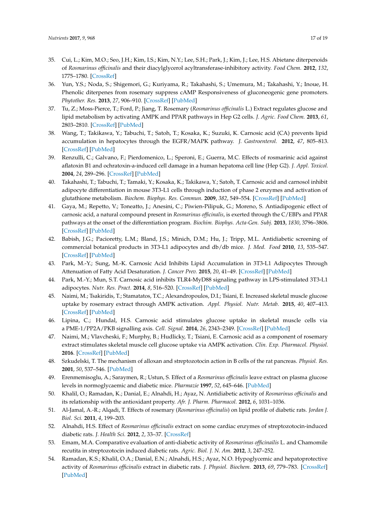- <span id="page-16-0"></span>35. Cui, L.; Kim, M.O.; Seo, J.H.; Kim, I.S.; Kim, N.Y.; Lee, S.H.; Park, J.; Kim, J.; Lee, H.S. Abietane diterpenoids of *Rosmarinus officinalis* and their diacylglycerol acyltransferase-inhibitory activity. *Food Chem.* **2012**, *132*, 1775–1780. [\[CrossRef\]](http://dx.doi.org/10.1016/j.foodchem.2011.11.138)
- <span id="page-16-1"></span>36. Yun, Y.S.; Noda, S.; Shigemori, G.; Kuriyama, R.; Takahashi, S.; Umemura, M.; Takahashi, Y.; Inoue, H. Phenolic diterpenes from rosemary suppress cAMP Responsiveness of gluconeogenic gene promoters. *Phytother. Res.* **2013**, *27*, 906–910. [\[CrossRef\]](http://dx.doi.org/10.1002/ptr.4794) [\[PubMed\]](http://www.ncbi.nlm.nih.gov/pubmed/22927089)
- <span id="page-16-2"></span>37. Tu, Z.; Moss-Pierce, T.; Ford, P.; Jiang, T. Rosemary (*Rosmarinus officinalis* L.) Extract regulates glucose and lipid metabolism by activating AMPK and PPAR pathways in Hep G2 cells. *J. Agric. Food Chem.* **2013**, *61*, 2803–2810. [\[CrossRef\]](http://dx.doi.org/10.1021/jf400298c) [\[PubMed\]](http://www.ncbi.nlm.nih.gov/pubmed/23432097)
- <span id="page-16-3"></span>38. Wang, T.; Takikawa, Y.; Tabuchi, T.; Satoh, T.; Kosaka, K.; Suzuki, K. Carnosic acid (CA) prevents lipid accumulation in hepatocytes through the EGFR/MAPK pathway. *J. Gastroenterol.* **2012**, *47*, 805–813. [\[CrossRef\]](http://dx.doi.org/10.1007/s00535-012-0546-7) [\[PubMed\]](http://www.ncbi.nlm.nih.gov/pubmed/22350699)
- <span id="page-16-4"></span>39. Renzulli, C.; Galvano, F.; Pierdomenico, L.; Speroni, E.; Guerra, M.C. Effects of rosmarinic acid against aflatoxin B1 and ochratoxin-a-induced cell damage in a human hepatoma cell line (Hep G2). *J. Appl. Toxicol.* **2004**, *24*, 289–296. [\[CrossRef\]](http://dx.doi.org/10.1002/jat.982) [\[PubMed\]](http://www.ncbi.nlm.nih.gov/pubmed/15300717)
- <span id="page-16-5"></span>40. Takahashi, T.; Tabuchi, T.; Tamaki, Y.; Kosaka, K.; Takikawa, Y.; Satoh, T. Carnosic acid and carnosol inhibit adipocyte differentiation in mouse 3T3-L1 cells through induction of phase 2 enzymes and activation of glutathione metabolism. *Biochem. Biophys. Res. Commun.* **2009**, *382*, 549–554. [\[CrossRef\]](http://dx.doi.org/10.1016/j.bbrc.2009.03.059) [\[PubMed\]](http://www.ncbi.nlm.nih.gov/pubmed/19289108)
- <span id="page-16-6"></span>41. Gaya, M.; Repetto, V.; Toneatto, J.; Anesini, C.; Piwien-Pilipuk, G.; Moreno, S. Antiadipogenic effect of carnosic acid, a natural compound present in *Rosmarinus officinalis*, is exerted through the C/EBPs and PPAR pathways at the onset of the differentiation program. *Biochim. Biophys. Acta-Gen. Subj.* **2013**, *1830*, 3796–3806. [\[CrossRef\]](http://dx.doi.org/10.1016/j.bbagen.2013.03.021) [\[PubMed\]](http://www.ncbi.nlm.nih.gov/pubmed/23541989)
- <span id="page-16-7"></span>42. Babish, J.G.; Pacioretty, L.M.; Bland, J.S.; Minich, D.M.; Hu, J.; Tripp, M.L. Antidiabetic screening of commercial botanical products in 3T3-L1 adipocytes and db/db mice. *J. Med. Food* **2010**, *13*, 535–547. [\[CrossRef\]](http://dx.doi.org/10.1089/jmf.2009.0110) [\[PubMed\]](http://www.ncbi.nlm.nih.gov/pubmed/20521979)
- <span id="page-16-8"></span>43. Park, M.-Y.; Sung, M.-K. Carnosic Acid Inhibits Lipid Accumulation in 3T3-L1 Adipocytes Through Attenuation of Fatty Acid Desaturation. *J. Cancer Prev.* **2015**, *20*, 41–49. [\[CrossRef\]](http://dx.doi.org/10.15430/JCP.2015.20.1.41) [\[PubMed\]](http://www.ncbi.nlm.nih.gov/pubmed/25853102)
- <span id="page-16-9"></span>44. Park, M.-Y.; Mun, S.T. Carnosic acid inhibits TLR4-MyD88 signaling pathway in LPS-stimulated 3T3-L1 adipocytes. *Nutr. Res. Pract.* **2014**, *8*, 516–520. [\[CrossRef\]](http://dx.doi.org/10.4162/nrp.2014.8.5.516) [\[PubMed\]](http://www.ncbi.nlm.nih.gov/pubmed/25324930)
- <span id="page-16-10"></span>45. Naimi, M.; Tsakiridis, T.; Stamatatos, T.C.; Alexandropoulos, D.I.; Tsiani, E. Increased skeletal muscle glucose uptake by rosemary extract through AMPK activation. *Appl. Physiol. Nutr. Metab.* **2015**, *40*, 407–413. [\[CrossRef\]](http://dx.doi.org/10.1139/apnm-2014-0430) [\[PubMed\]](http://www.ncbi.nlm.nih.gov/pubmed/25794239)
- <span id="page-16-11"></span>46. Lipina, C.; Hundal, H.S. Carnosic acid stimulates glucose uptake in skeletal muscle cells via a PME-1/PP2A/PKB signalling axis. *Cell. Signal.* **2014**, *26*, 2343–2349. [\[CrossRef\]](http://dx.doi.org/10.1016/j.cellsig.2014.07.022) [\[PubMed\]](http://www.ncbi.nlm.nih.gov/pubmed/25038454)
- <span id="page-16-12"></span>47. Naimi, M.; Vlavcheski, F.; Murphy, B.; Hudlicky, T.; Tsiani, E. Carnosic acid as a component of rosemary extract stimulates skeletal muscle cell glucose uptake via AMPK activation. *Clin. Exp. Pharmacol. Physiol.* **2016**. [\[CrossRef\]](http://dx.doi.org/10.1111/1440-1681.12674) [\[PubMed\]](http://www.ncbi.nlm.nih.gov/pubmed/27716981)
- <span id="page-16-13"></span>48. Szkudelski, T. The mechanism of alloxan and streptozotocin action in B cells of the rat pancreas. *Physiol. Res.* **2001**, *50*, 537–546. [\[PubMed\]](http://www.ncbi.nlm.nih.gov/pubmed/11829314)
- <span id="page-16-14"></span>49. Erenmemisoglu, A.; Saraymen, R.; Ustun, S. Effect of a *Rosmarinus officinalis* leave extract on plasma glucose levels in normoglycaemic and diabetic mice. *Pharmazie* **1997**, *52*, 645–646. [\[PubMed\]](http://www.ncbi.nlm.nih.gov/pubmed/9292920)
- <span id="page-16-15"></span>50. Khalil, O.; Ramadan, K.; Danial, E.; Alnahdi, H.; Ayaz, N. Antidiabetic activity of *Rosmarinus officinalis* and its relationship with the antioxidant property. *Afr. J. Pharm. Pharmacol.* **2012**, *6*, 1031–1036.
- <span id="page-16-16"></span>51. Al-Jamal, A.-R.; Alqadi, T. Effects of rosemary (*Rosmarinus officinalis*) on lipid profile of diabetic rats. *Jordan J. Biol. Sci.* **2011**, *4*, 199–203.
- <span id="page-16-17"></span>52. Alnahdi, H.S. Effect of *Rosmarinus officinalis* extract on some cardiac enzymes of streptozotocin-induced diabetic rats. *J. Health Sci.* **2012**, *2*, 33–37. [\[CrossRef\]](http://dx.doi.org/10.5923/j.health.20120204.03)
- <span id="page-16-18"></span>53. Emam, M.A. Comparative evaluation of anti-diabetic activity of *Rosmarinus officinailis* L. and Chamomile recutita in streptozotocin induced diabetic rats. *Agric. Biol. J. N. Am.* **2012**, *3*, 247–252.
- <span id="page-16-19"></span>54. Ramadan, K.S.; Khalil, O.A.; Danial, E.N.; Alnahdi, H.S.; Ayaz, N.O. Hypoglycemic and hepatoprotective activity of *Rosmarinus officinalis* extract in diabetic rats. *J. Physiol. Biochem.* **2013**, *69*, 779–783. [\[CrossRef\]](http://dx.doi.org/10.1007/s13105-013-0253-8) [\[PubMed\]](http://www.ncbi.nlm.nih.gov/pubmed/23625639)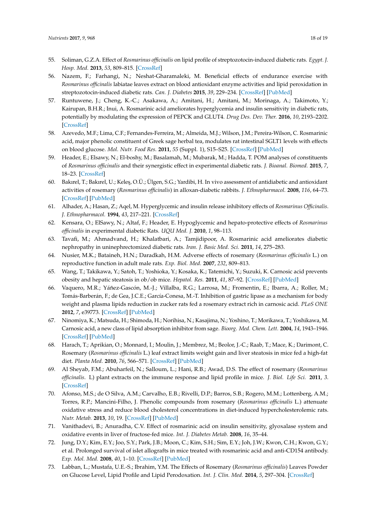- <span id="page-17-0"></span>55. Soliman, G.Z.A. Effect of *Rosmarinus officinalis* on lipid profile of streptozotocin-induced diabetic rats. *Egypt. J. Hosp. Med.* **2013**, *53*, 809–815. [\[CrossRef\]](http://dx.doi.org/10.12816/0001643)
- <span id="page-17-1"></span>56. Nazem, F.; Farhangi, N.; Neshat-Gharamaleki, M. Beneficial effects of endurance exercise with *Rosmarinus officinalis* labiatae leaves extract on blood antioxidant enzyme activities and lipid peroxidation in streptozotocin-induced diabetic rats. *Can. J. Diabetes* **2015**, *39*, 229–234. [\[CrossRef\]](http://dx.doi.org/10.1016/j.jcjd.2014.11.003) [\[PubMed\]](http://www.ncbi.nlm.nih.gov/pubmed/25659282)
- <span id="page-17-2"></span>57. Runtuwene, J.; Cheng, K.-C.; Asakawa, A.; Amitani, H.; Amitani, M.; Morinaga, A.; Takimoto, Y.; Kairupan, B.H.R.; Inui, A. Rosmarinic acid ameliorates hyperglycemia and insulin sensitivity in diabetic rats, potentially by modulating the expression of PEPCK and GLUT4. *Drug Des. Dev. Ther.* **2016**, *10*, 2193–2202. [\[CrossRef\]](http://dx.doi.org/10.2147/DDDT.S108539)
- <span id="page-17-3"></span>58. Azevedo, M.F.; Lima, C.F.; Fernandes-Ferreira, M.; Almeida, M.J.; Wilson, J.M.; Pereira-Wilson, C. Rosmarinic acid, major phenolic constituent of Greek sage herbal tea, modulates rat intestinal SGLT1 levels with effects on blood glucose. *Mol. Nutr. Food Res.* **2011**, *55* (Suppl. 1), S15–S25. [\[CrossRef\]](http://dx.doi.org/10.1002/mnfr.201000472) [\[PubMed\]](http://www.ncbi.nlm.nih.gov/pubmed/21433280)
- <span id="page-17-4"></span>59. Header, E.; Elsawy, N.; El-boshy, M.; Basalamah, M.; Mubarak, M.; Hadda, T. POM analyses of constituents of *Rosmarinus officinalis* and their synergistic effect in experimental diabetic rats. *J. Bioanal. Biomed.* **2015**, *7*, 18–23. [\[CrossRef\]](http://dx.doi.org/10.4172/1948-593X.1000118)
- <span id="page-17-5"></span>60. Bakırel, T.; Bakırel, U.; Kele¸s, O.Ü.; Ülgen, S.G.; Yardibi, H. In vivo assessment of antidiabetic and antioxidant activities of rosemary (*Rosmarinus officinalis*) in alloxan-diabetic rabbits. *J. Ethnopharmacol.* **2008**, *116*, 64–73. [\[CrossRef\]](http://dx.doi.org/10.1016/j.jep.2007.10.039) [\[PubMed\]](http://www.ncbi.nlm.nih.gov/pubmed/18063331)
- <span id="page-17-6"></span>61. Alhader, A.; Hasan, Z.; Aqel, M. Hyperglycemic and insulin release inhibitory effects of *Rosmarinus Officinalis*. *J. Ethnopharmacol.* **1994**, *43*, 217–221. [\[CrossRef\]](http://dx.doi.org/10.1016/0378-8741(94)90046-9)
- <span id="page-17-7"></span>62. Kensara, O.; ElSawy, N.; Altaf, F.; Header, E. Hypoglycemic and hepato-protective effects of *Rosmarinus officinalis* in experimental diabetic Rats. *UQU Med. J.* **2010**, *1*, 98–113.
- <span id="page-17-8"></span>63. Tavafi, M.; Ahmadvand, H.; Khalatbari, A.; Tamjidipoor, A. Rosmarinic acid ameliorates diabetic nephropathy in uninephrectomized diabetic rats. *Iran. J. Basic Med. Sci.* **2011**, *14*, 275–283.
- <span id="page-17-9"></span>64. Nusier, M.K.; Bataineh, H.N.; Daradkah, H.M. Adverse effects of rosemary (*Rosmarinus officinalis* L.) on reproductive function in adult male rats. *Exp. Biol. Med.* **2007**, *232*, 809–813.
- <span id="page-17-10"></span>65. Wang, T.; Takikawa, Y.; Satoh, T.; Yoshioka, Y.; Kosaka, K.; Tatemichi, Y.; Suzuki, K. Carnosic acid prevents obesity and hepatic steatosis in ob/ob mice. *Hepatol. Res.* **2011**, *41*, 87–92. [\[CrossRef\]](http://dx.doi.org/10.1111/j.1872-034X.2010.00747.x) [\[PubMed\]](http://www.ncbi.nlm.nih.gov/pubmed/21199201)
- <span id="page-17-11"></span>66. Vaquero, M.R.; Yáñez-Gascón, M.-J.; Villalba, R.G.; Larrosa, M.; Fromentin, E.; Ibarra, A.; Roller, M.; Tomás-Barberán, F.; de Gea, J.C.E.; García-Conesa, M.-T. Inhibition of gastric lipase as a mechanism for body weight and plasma lipids reduction in zucker rats fed a rosemary extract rich in carnosic acid. *PLoS ONE* **2012**, *7*, e39773. [\[CrossRef\]](http://dx.doi.org/10.1371/journal.pone.0039773) [\[PubMed\]](http://www.ncbi.nlm.nih.gov/pubmed/22745826)
- <span id="page-17-12"></span>67. Ninomiya, K.; Matsuda, H.; Shimoda, H.; Norihisa, N.; Kasajima, N.; Yoshino, T.; Morikawa, T.; Yoshikawa, M. Carnosic acid, a new class of lipid absorption inhibitor from sage. *Bioorg. Med. Chem. Lett.* **2004**, *14*, 1943–1946. [\[CrossRef\]](http://dx.doi.org/10.1016/j.bmcl.2004.01.091) [\[PubMed\]](http://www.ncbi.nlm.nih.gov/pubmed/15050633)
- <span id="page-17-13"></span>68. Harach, T.; Aprikian, O.; Monnard, I.; Moulin, J.; Membrez, M.; Beolor, J.-C.; Raab, T.; Mace, K.; Darimont, C. Rosemary (*Rosmarinus officinalis* L.) leaf extract limits weight gain and liver steatosis in mice fed a high-fat diet. *Planta Med.* **2010**, *76*, 566–571. [\[CrossRef\]](http://dx.doi.org/10.1055/s-0029-1240612) [\[PubMed\]](http://www.ncbi.nlm.nih.gov/pubmed/19918713)
- <span id="page-17-14"></span>69. Al Sheyab, F.M.; Abuharfeil, N.; Salloum, L.; Hani, R.B.; Awad, D.S. The effect of rosemary (*Rosmarinus officinalis*. L) plant extracts on the immune response and lipid profile in mice. *J. Biol. Life Sci.* **2011**, *3*. [\[CrossRef\]](http://dx.doi.org/10.5296/jbls.v3i1.906)
- <span id="page-17-15"></span>70. Afonso, M.S.; de O Silva, A.M.; Carvalho, E.B.; Rivelli, D.P.; Barros, S.B.; Rogero, M.M.; Lottenberg, A.M.; Torres, R.P.; Mancini-Filho, J. Phenolic compounds from rosemary (*Rosmarinus officinalis* L.) attenuate oxidative stress and reduce blood cholesterol concentrations in diet-induced hypercholesterolemic rats. *Nutr. Metab.* **2013**, *10*, 19. [\[CrossRef\]](http://dx.doi.org/10.1186/1743-7075-10-19) [\[PubMed\]](http://www.ncbi.nlm.nih.gov/pubmed/23374457)
- <span id="page-17-16"></span>71. Vanithadevi, B.; Anuradha, C.V. Effect of rosmarinic acid on insulin sensitivity, glyoxalase system and oxidative events in liver of fructose-fed mice. *Int. J. Diabetes Metab.* **2008**, *16*, 35–44.
- <span id="page-17-17"></span>72. Jung, D.Y.; Kim, E.Y.; Joo, S.Y.; Park, J.B.; Moon, C.; Kim, S.H.; Sim, E.Y.; Joh, J.W.; Kwon, C.H.; Kwon, G.Y.; et al. Prolonged survival of islet allografts in mice treated with rosmarinic acid and anti-CD154 antibody. *Exp. Mol. Med.* **2008**, *40*, 1–10. [\[CrossRef\]](http://dx.doi.org/10.3858/emm.2008.40.1.1) [\[PubMed\]](http://www.ncbi.nlm.nih.gov/pubmed/18305392)
- <span id="page-17-18"></span>73. Labban, L.; Mustafa, U.E.-S.; Ibrahim, Y.M. The Effects of Rosemary (*Rosmarinus officinalis*) Leaves Powder on Glucose Level, Lipid Profile and Lipid Perodoxation. *Int. J. Clin. Med.* **2014**, *5*, 297–304. [\[CrossRef\]](http://dx.doi.org/10.4236/ijcm.2014.56044)